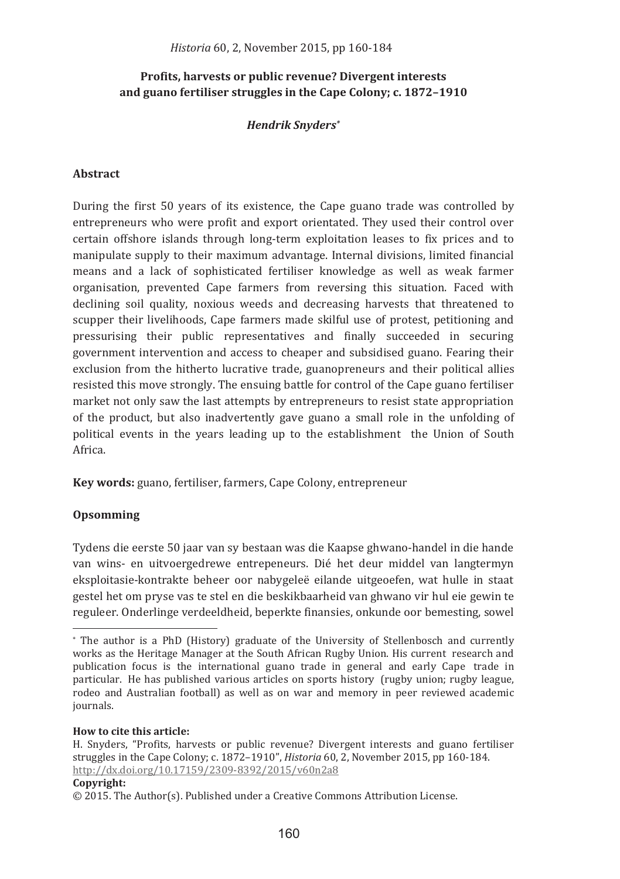# Profits, harvests or public revenue? Divergent interests and guano fertiliser struggles in the Cape Colony; c. 1872-1910

# **Hendrik Snyders\***

## **Abstract**

During the first 50 years of its existence, the Cape guano trade was controlled by entrepreneurs who were profit and export orientated. They used their control over certain offshore islands through long-term exploitation leases to fix prices and to manipulate supply to their maximum advantage. Internal divisions, limited financial means and a lack of sophisticated fertiliser knowledge as well as weak farmer organisation, prevented Cape farmers from reversing this situation. Faced with declining soil quality, noxious weeds and decreasing harvests that threatened to scupper their livelihoods, Cape farmers made skilful use of protest, petitioning and pressurising their public representatives and finally succeeded in securing government intervention and access to cheaper and subsidised guano. Fearing their exclusion from the hitherto lucrative trade, guanopreneurs and their political allies resisted this move strongly. The ensuing battle for control of the Cape guano fertiliser market not only saw the last attempts by entrepreneurs to resist state appropriation of the product, but also inadvertently gave guano a small role in the unfolding of political events in the years leading up to the establishment the Union of South Africa

Key words: guano, fertiliser, farmers, Cape Colony, entrepreneur

# Opsomming

Tydens die eerste 50 jaar van sy bestaan was die Kaapse ghwano-handel in die hande van wins- en uitvoergedrewe entrepeneurs. Dié het deur middel van langtermyn eksploitasie-kontrakte beheer oor nabygeleë eilande uitgeoefen, wat hulle in staat gestel het om pryse vas te stel en die beskikbaarheid van ghwano vir hul eie gewin te reguleer. Onderlinge verdeeldheid, beperkte finansies, onkunde oor bemesting, sowel

#### How to cite this article:

#### Copyright:

<sup>\*</sup> The author is a PhD (History) graduate of the University of Stellenbosch and currently works as the Heritage Manager at the South African Rugby Union. His current research and publication focus is the international guano trade in general and early Cape trade in particular. He has published various articles on sports history (rugby union: rugby league. rodeo and Australian football) as well as on war and memory in peer reviewed academic journals.

H. Snyders, "Profits, harvests or public revenue? Divergent interests and guano fertiliser struggles in the Cape Colony: c.  $1872-1910$ ". *Historia* 60, 2. November 2015, pp 160-184. http://dx.doi.org/10.17159/2309-8392/2015/v60n2a8

 $\odot$  2015. The Author(s). Published under a Creative Commons Attribution License.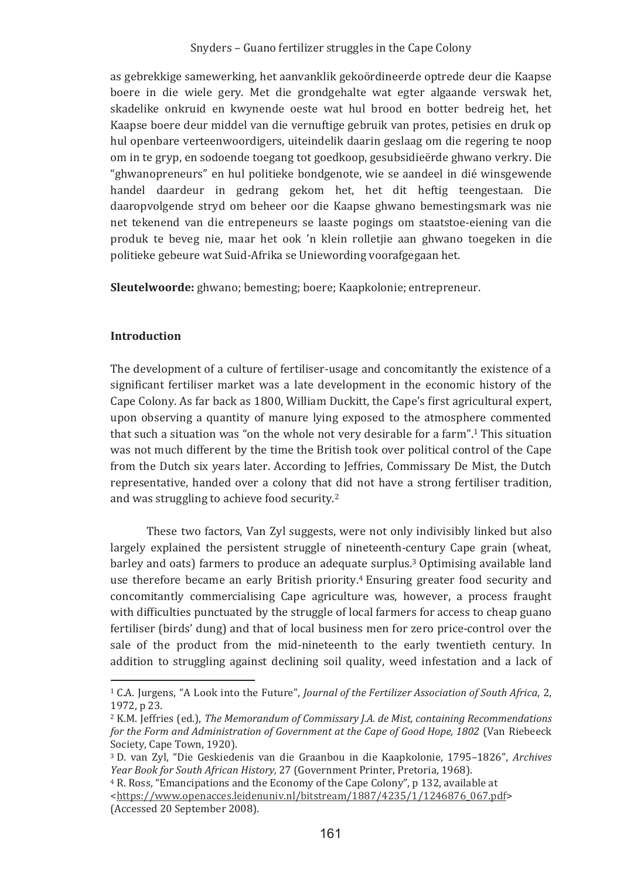as gebrekkige samewerking, het aanvanklik gekoördineerde optrede deur die Kaapse boere in die wiele gery. Met die grondgehalte wat egter algaande verswak het, skadelike onkruid en kwynende oeste wat hul brood en botter bedreig het, het Kaapse boere deur middel van die vernuftige gebruik van protes, petisies en druk op hul openbare verteenwoordigers, uiteindelik daarin geslaag om die regering te noop om in te gryp, en sodoende toegang tot goedkoop, gesubsidieërde ghwano verkry. Die "ghwanopreneurs" en hul politieke bondgenote, wie se aandeel in dié winsgewende handel daardeur in gedrang gekom het, het dit heftig teengestaan. Die daaropvolgende stryd om beheer oor die Kaapse ghwano bemestingsmark was nie net tekenend van die entrepeneurs se laaste pogings om staatstoe-eiening van die produk te beveg nie, maar het ook 'n klein rolletije aan ghwano toegeken in die politieke gebeure wat Suid-Afrika se Uniewording voorafgegaan het.

Sleutelwoorde: ghwano: bemesting: boere: Kaapkolonie: entrepreneur.

### **Introduction**

The development of a culture of fertiliser-usage and concomitantly the existence of a significant fertiliser market was a late development in the economic history of the Cape Colony. As far back as 1800, William Duckitt, the Cape's first agricultural expert, upon observing a quantity of manure lying exposed to the atmosphere commented that such a situation was "on the whole not very desirable for a farm".<sup>1</sup> This situation was not much different by the time the British took over political control of the Cape from the Dutch six years later. According to Jeffries, Commissary De Mist, the Dutch representative, handed over a colony that did not have a strong fertiliser tradition. and was struggling to achieve food security.<sup>2</sup>

These two factors, Van Zyl suggests, were not only indivisibly linked but also largely explained the persistent struggle of nineteenth-century Cape grain (wheat, barley and oats) farmers to produce an adequate surplus.<sup>3</sup> Optimising available land use therefore became an early British priority.<sup>4</sup> Ensuring greater food security and concomitantly commercialising Cape agriculture was, however, a process fraught with difficulties punctuated by the struggle of local farmers for access to cheap guano fertiliser (birds' dung) and that of local business men for zero price-control over the sale of the product from the mid-nineteenth to the early twentieth century. In addition to struggling against declining soil quality, weed infestation and a lack of

<sup>&</sup>lt;sup>1</sup> C.A. Jurgens, "A Look into the Future", *Journal of the Fertilizer Association of South Africa*, 2, 1972, p 23.

<sup>&</sup>lt;sup>2</sup> K.M. Jeffries (ed.), The Memorandum of Commissary J.A. de Mist, containing Recommendations for the Form and Administration of Government at the Cape of Good Hope, 1802 (Van Riebeeck Society, Cape Town, 1920).

<sup>&</sup>lt;sup>3</sup> D. van Zvl. "Die Geskiedenis van die Graanbou in die Kaapkolonie. 1795–1826". Archives Year Book for South African History, 27 (Government Printer, Pretoria, 1968).

<sup>&</sup>lt;sup>4</sup> R. Ross, "Emancipations and the Economy of the Cape Colony", p 132, available at <https://www.openacces.leidenuniv.nl/bitstream/1887/4235/1/1246876\_067.pdf> (Accessed 20 September 2008).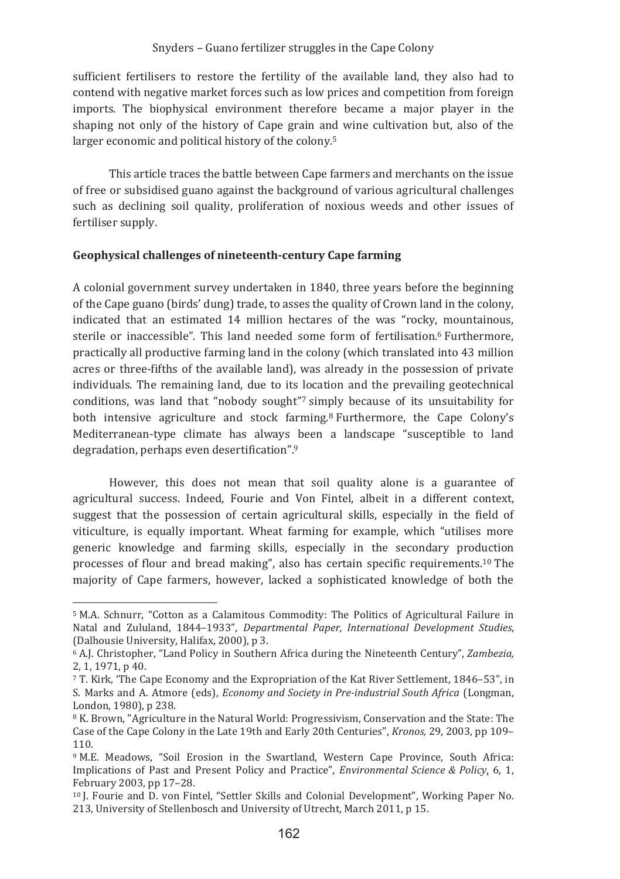sufficient fertilisers to restore the fertility of the available land, they also had to contend with negative market forces such as low prices and competition from foreign imports. The biophysical environment therefore became a major player in the shaping not only of the history of Cape grain and wine cultivation but, also of the larger economic and political history of the colony.<sup>5</sup>

This article traces the battle between Cape farmers and merchants on the issue of free or subsidised guano against the background of various agricultural challenges such as declining soil quality, proliferation of noxious weeds and other issues of fertiliser supply.

### Geophysical challenges of nineteenth-century Cape farming

A colonial government survey undertaken in 1840, three years before the beginning of the Cape guano (birds' dung) trade, to asses the quality of Crown land in the colony, indicated that an estimated 14 million hectares of the was "rocky, mountainous, sterile or inaccessible". This land needed some form of fertilisation.<sup>6</sup> Furthermore. practically all productive farming land in the colony (which translated into 43 million acres or three-fifths of the available land), was already in the possession of private individuals. The remaining land, due to its location and the prevailing geotechnical conditions, was land that "nobody sought"7 simply because of its unsuitability for both intensive agriculture and stock farming.<sup>8</sup> Furthermore, the Cape Colony's Mediterranean-type climate has always been a landscape "susceptible to land degradation, perhaps even desertification".9

However, this does not mean that soil quality alone is a guarantee of agricultural success. Indeed, Fourie and Von Fintel, albeit in a different context, suggest that the possession of certain agricultural skills, especially in the field of viticulture, is equally important. Wheat farming for example, which "utilises more generic knowledge and farming skills, especially in the secondary production processes of flour and bread making", also has certain specific requirements.<sup>10</sup> The majority of Cape farmers, however, lacked a sophisticated knowledge of both the

<sup>&</sup>lt;sup>5</sup> M.A. Schnurr. "Cotton as a Calamitous Commodity: The Politics of Agricultural Failure in Natal and Zululand, 1844-1933", Departmental Paper, International Development Studies, (Dalhousie University, Halifax, 2000), p 3.

<sup>&</sup>lt;sup>6</sup> A.J. Christopher, "Land Policy in Southern Africa during the Nineteenth Century", Zambezia, 2.1.1971.p 40.

<sup>7</sup> T. Kirk. 'The Cape Economy and the Expropriation of the Kat River Settlement, 1846–53", in S. Marks and A. Atmore (eds), *Economy and Society in Pre-industrial South Africa* (Longman, London, 1980), p 238.

<sup>&</sup>lt;sup>8</sup> K. Brown, "Agriculture in the Natural World: Progressivism, Conservation and the State: The Case of the Cape Colony in the Late 19th and Early 20th Centuries", Kronos, 29, 2003, pp 109– 110.

<sup>&</sup>lt;sup>9</sup> M.E. Meadows. "Soil Erosion in the Swartland. Western Cape Province. South Africa: Implications of Past and Present Policy and Practice", *Environmental Science & Policy*, 6, 1, February 2003, pp 17-28.

<sup>&</sup>lt;sup>10</sup> I. Fourie and D. von Fintel. "Settler Skills and Colonial Development". Working Paper No. 213, University of Stellenbosch and University of Utrecht, March 2011, p 15.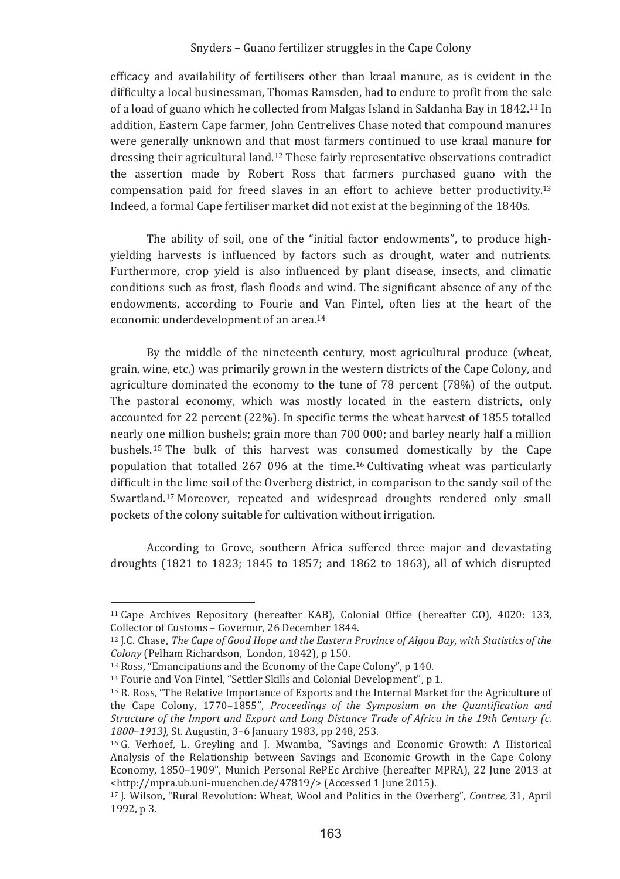efficacy and availability of fertilisers other than kraal manure, as is evident in the difficulty a local businessman, Thomas Ramsden, had to endure to profit from the sale of a load of guano which he collected from Malgas Island in Saldanha Bay in 1842.<sup>11</sup> In addition. Eastern Cape farmer. John Centrelives Chase noted that compound manures were generally unknown and that most farmers continued to use kraal manure for dressing their agricultural land.<sup>12</sup> These fairly representative observations contradict the assertion made by Robert Ross that farmers purchased guano with the compensation paid for freed slaves in an effort to achieve better productivity.<sup>13</sup> Indeed, a formal Cape fertiliser market did not exist at the beginning of the 1840s.

The ability of soil, one of the "initial factor endowments", to produce highvielding harvests is influenced by factors such as drought, water and nutrients. Furthermore, crop yield is also influenced by plant disease, insects, and climatic conditions such as frost, flash floods and wind. The significant absence of any of the endowments, according to Fourie and Van Fintel, often lies at the heart of the economic underdevelopment of an area.<sup>14</sup>

By the middle of the nineteenth century, most agricultural produce (wheat, grain, wine, etc.) was primarily grown in the western districts of the Cape Colony, and agriculture dominated the economy to the tune of 78 percent (78%) of the output. The pastoral economy, which was mostly located in the eastern districts, only accounted for 22 percent (22%). In specific terms the wheat harvest of 1855 totalled nearly one million bushels: grain more than 700 000; and barley nearly half a million bushels.<sup>15</sup> The bulk of this harvest was consumed domestically by the Cape population that totalled 267 096 at the time.<sup>16</sup> Cultivating wheat was particularly difficult in the lime soil of the Overberg district, in comparison to the sandy soil of the Swartland.<sup>17</sup> Moreover, repeated and widespread droughts rendered only small pockets of the colony suitable for cultivation without irrigation.

According to Grove, southern Africa suffered three major and devastating droughts (1821 to 1823; 1845 to 1857; and 1862 to 1863), all of which disrupted

<sup>&</sup>lt;sup>11</sup> Cape Archives Repository (hereafter KAB), Colonial Office (hereafter CO), 4020; 133, Collector of Customs - Governor, 26 December 1844.

<sup>&</sup>lt;sup>12</sup> J.C. Chase, *The Cape of Good Hope and the Eastern Province of Algoa Bay, with Statistics of the* Colony (Pelham Richardson, London, 1842), p 150.

 $13$  Ross. "Emancipations and the Economy of the Cape Colony", p 140.

<sup>&</sup>lt;sup>14</sup> Fourie and Von Fintel, "Settler Skills and Colonial Development", p 1.

<sup>&</sup>lt;sup>15</sup> R. Ross, "The Relative Importance of Exports and the Internal Market for the Agriculture of the Cape Colony, 1770-1855", Proceedings of the Symposium on the Quantification and Structure of the Import and Export and Long Distance Trade of Africa in the 19th Century (c. 1800-1913), St. Augustin, 3-6 January 1983, pp 248, 253.

<sup>&</sup>lt;sup>16</sup> G. Verhoef, L. Greyling and J. Mwamba, "Savings and Economic Growth: A Historical Analysis of the Relationship between Savings and Economic Growth in the Cape Colony Economy, 1850-1909", Munich Personal RePEc Archive (hereafter MPRA), 22 June 2013 at <http://mpra.ub.uni-muenchen.de/47819/> (Accessed 1 June 2015).

<sup>&</sup>lt;sup>17</sup> I. Wilson. "Rural Revolution: Wheat. Wool and Politics in the Overberg". Contree, 31. April 1992, p 3.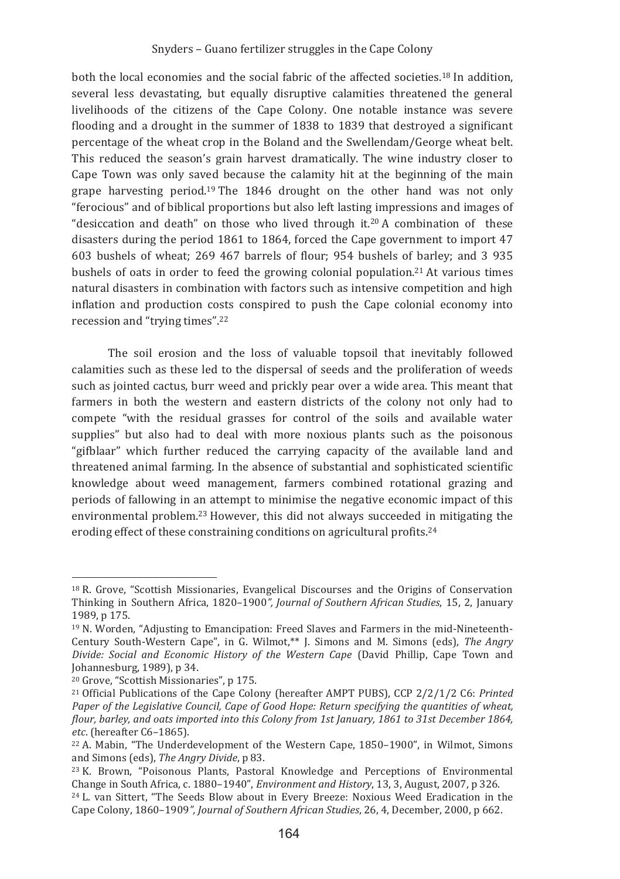both the local economies and the social fabric of the affected societies.<sup>18</sup> In addition. several less devastating, but equally disruptive calamities threatened the general livelihoods of the citizens of the Cape Colony. One notable instance was severe flooding and a drought in the summer of 1838 to 1839 that destroved a significant percentage of the wheat crop in the Boland and the Swellendam/George wheat belt. This reduced the season's grain harvest dramatically. The wine industry closer to Cape Town was only saved because the calamity hit at the beginning of the main grape harvesting period.<sup>19</sup> The 1846 drought on the other hand was not only "ferocious" and of biblical proportions but also left lasting impressions and images of "desiccation and death" on those who lived through it.<sup>20</sup> A combination of these disasters during the period 1861 to 1864, forced the Cape government to import 47 603 bushels of wheat; 269 467 barrels of flour; 954 bushels of barley; and 3 935 bushels of oats in order to feed the growing colonial population.<sup>21</sup> At various times natural disasters in combination with factors such as intensive competition and high inflation and production costs conspired to push the Cape colonial economy into recession and "trying times".<sup>22</sup>

The soil erosion and the loss of valuable topsoil that inevitably followed calamities such as these led to the dispersal of seeds and the proliferation of weeds such as jointed cactus, burr weed and prickly pear over a wide area. This meant that farmers in both the western and eastern districts of the colony not only had to compete "with the residual grasses for control of the soils and available water supplies" but also had to deal with more noxious plants such as the poisonous "gifblaar" which further reduced the carrying capacity of the available land and threatened animal farming. In the absence of substantial and sophisticated scientific knowledge about weed management, farmers combined rotational grazing and periods of fallowing in an attempt to minimise the negative economic impact of this environmental problem.<sup>23</sup> However, this did not always succeeded in mitigating the eroding effect of these constraining conditions on agricultural profits.<sup>24</sup>

<sup>&</sup>lt;sup>18</sup> R. Grove, "Scottish Missionaries, Evangelical Discourses and the Origins of Conservation Thinking in Southern Africa, 1820-1900", Journal of Southern African Studies, 15, 2, January 1989. n 175.

<sup>&</sup>lt;sup>19</sup> N. Worden, "Adjusting to Emancipation: Freed Slaves and Farmers in the mid-Nineteenth-Century South-Western Cape", in G. Wilmot,\*\* J. Simons and M. Simons (eds), The Angry Divide: Social and Economic History of the Western Cape (David Phillip, Cape Town and Johannesburg, 1989), p 34.

<sup>&</sup>lt;sup>20</sup> Grove, "Scottish Missionaries", p 175.

<sup>&</sup>lt;sup>21</sup> Official Publications of the Cape Colony (hereafter AMPT PUBS), CCP 2/2/1/2 C6: Printed Paper of the Legislative Council, Cape of Good Hope: Return specifying the quantities of wheat, flour, barley, and oats imported into this Colony from 1st January, 1861 to 31st December 1864, etc. (hereafter C6-1865).

<sup>&</sup>lt;sup>22</sup> A. Mabin. "The Underdevelopment of the Western Cape, 1850–1900", in Wilmot, Simons and Simons (eds), The Angry Divide, p 83.

<sup>&</sup>lt;sup>23</sup> K. Brown, "Poisonous Plants, Pastoral Knowledge and Perceptions of Environmental Change in South Africa, c. 1880-1940", Environment and History, 13, 3, August, 2007, p 326.

<sup>&</sup>lt;sup>24</sup> L. van Sittert, "The Seeds Blow about in Every Breeze: Noxious Weed Eradication in the Cape Colony, 1860-1909", Journal of Southern African Studies, 26, 4, December, 2000, p 662.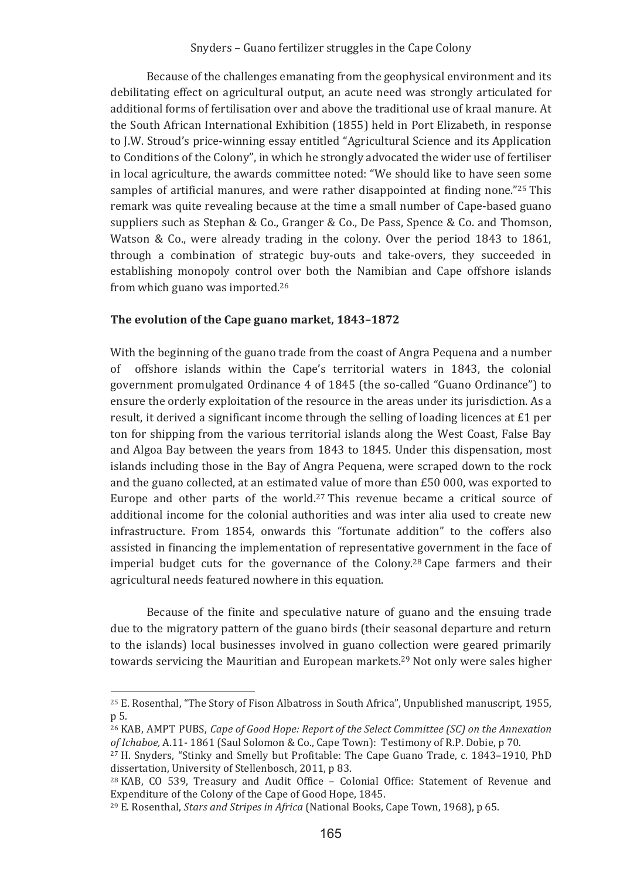Because of the challenges emanating from the geophysical environment and its debilitating effect on agricultural output, an acute need was strongly articulated for additional forms of fertilisation over and above the traditional use of kraal manure. At the South African International Exhibition (1855) held in Port Elizabeth, in response to I.W. Stroud's price-winning essay entitled "Agricultural Science and its Application to Conditions of the Colony", in which he strongly advocated the wider use of fertiliser in local agriculture, the awards committee noted: "We should like to have seen some samples of artificial manures, and were rather disappointed at finding none."25 This remark was quite revealing because at the time a small number of Cape-based guano suppliers such as Stephan & Co., Granger & Co., De Pass, Spence & Co. and Thomson, Watson & Co., were already trading in the colony. Over the period 1843 to 1861. through a combination of strategic buy-outs and take-overs, they succeeded in establishing monopoly control over both the Namibian and Cape offshore islands from which guano was imported.<sup>26</sup>

#### The evolution of the Cape guano market, 1843-1872

With the beginning of the guano trade from the coast of Angra Pequena and a number of offshore islands within the Cape's territorial waters in 1843, the colonial government promulgated Ordinance 4 of 1845 (the so-called "Guano Ordinance") to ensure the orderly exploitation of the resource in the areas under its jurisdiction. As a result, it derived a significant income through the selling of loading licences at £1 per ton for shipping from the various territorial islands along the West Coast, False Bay and Algoa Bay between the years from 1843 to 1845. Under this dispensation, most islands including those in the Bay of Angra Pequena, were scraped down to the rock and the guano collected, at an estimated value of more than £50 000, was exported to Europe and other parts of the world.<sup>27</sup> This revenue became a critical source of additional income for the colonial authorities and was inter alia used to create new infrastructure. From 1854, onwards this "fortunate addition" to the coffers also assisted in financing the implementation of representative government in the face of imperial budget cuts for the governance of the Colony.<sup>28</sup> Cape farmers and their agricultural needs featured nowhere in this equation.

Because of the finite and speculative nature of guano and the ensuing trade due to the migratory pattern of the guano birds (their seasonal departure and return to the islands) local businesses involved in guano collection were geared primarily towards servicing the Mauritian and European markets.<sup>29</sup> Not only were sales higher

<sup>&</sup>lt;sup>25</sup> E. Rosenthal, "The Story of Fison Albatross in South Africa", Unpublished manuscript, 1955, p 5.

<sup>&</sup>lt;sup>26</sup> KAB, AMPT PUBS, *Cape of Good Hope: Report of the Select Committee (SC)* on the Annexation of Ichaboe, A.11-1861 (Saul Solomon & Co., Cape Town): Testimony of R.P. Dobie, p 70.

<sup>&</sup>lt;sup>27</sup> H. Snyders, "Stinky and Smelly but Profitable: The Cape Guano Trade. c. 1843–1910. PhD dissertation, University of Stellenbosch, 2011, p 83.

<sup>&</sup>lt;sup>28</sup> KAB, CO 539, Treasury and Audit Office - Colonial Office: Statement of Revenue and Expenditure of the Colony of the Cape of Good Hope, 1845.

<sup>&</sup>lt;sup>29</sup> E. Rosenthal, *Stars and Stripes in Africa* (National Books, Cape Town, 1968), p 65.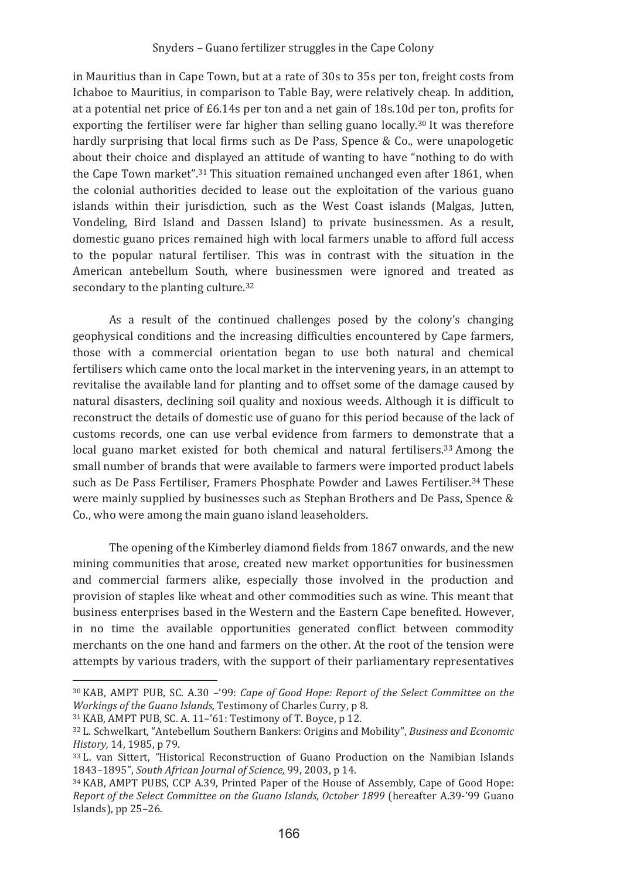in Mauritius than in Cape Town, but at a rate of 30s to 35s per ton, freight costs from Ichaboe to Mauritius, in comparison to Table Bay, were relatively cheap. In addition, at a potential net price of  $E6.14s$  per ton and a net gain of 18s.10d per ton, profits for exporting the fertiliser were far higher than selling guano locally.<sup>30</sup> It was therefore hardly surprising that local firms such as De Pass. Spence & Co., were unapologetic about their choice and displayed an attitude of wanting to have "nothing to do with the Cape Town market".<sup>31</sup> This situation remained unchanged even after 1861, when the colonial authorities decided to lease out the exploitation of the various guano islands within their jurisdiction, such as the West Coast islands (Malgas, Jutten, Vondeling, Bird Island and Dassen Island) to private businessmen. As a result, domestic guano prices remained high with local farmers unable to afford full access to the popular natural fertiliser. This was in contrast with the situation in the American antebellum South, where businessmen were ignored and treated as secondary to the planting culture.<sup>32</sup>

As a result of the continued challenges posed by the colony's changing geophysical conditions and the increasing difficulties encountered by Cape farmers. those with a commercial orientation began to use both natural and chemical fertilisers which came onto the local market in the intervening years, in an attempt to revitalise the available land for planting and to offset some of the damage caused by natural disasters, declining soil quality and noxious weeds. Although it is difficult to reconstruct the details of domestic use of guano for this period because of the lack of customs records, one can use verbal evidence from farmers to demonstrate that a local guano market existed for both chemical and natural fertilisers.<sup>33</sup> Among the small number of brands that were available to farmers were imported product labels such as De Pass Fertiliser. Framers Phosphate Powder and Lawes Fertiliser.<sup>34</sup> These were mainly supplied by businesses such as Stephan Brothers and De Pass, Spence & Co., who were among the main guano island leaseholders.

The opening of the Kimberley diamond fields from 1867 onwards, and the new mining communities that arose, created new market opportunities for businessmen and commercial farmers alike, especially those involved in the production and provision of staples like wheat and other commodities such as wine. This meant that business enterprises based in the Western and the Eastern Cape benefited. However, in no time the available opportunities generated conflict between commodity merchants on the one hand and farmers on the other. At the root of the tension were attempts by various traders, with the support of their parliamentary representatives

<sup>&</sup>lt;sup>30</sup> KAB, AMPT PUB, SC. A.30 -'99: Cape of Good Hope: Report of the Select Committee on the Workings of the Guano Islands, Testimony of Charles Curry, p 8.

<sup>31</sup> KAB, AMPT PUB, SC. A. 11-'61: Testimony of T. Boyce, p 12.

<sup>&</sup>lt;sup>32</sup> L. Schwelkart, "Antebellum Southern Bankers: Origins and Mobility", Business and Economic History, 14, 1985, p 79.

<sup>&</sup>lt;sup>33</sup> L. van Sittert. "Historical Reconstruction of Guano Production on the Namibian Islands 1843-1895", South African Journal of Science, 99, 2003, p 14.

<sup>&</sup>lt;sup>34</sup> KAB, AMPT PUBS, CCP A.39, Printed Paper of the House of Assembly, Cape of Good Hope: Report of the Select Committee on the Guano Islands, October 1899 (hereafter A.39-'99 Guano Islands), pp 25-26.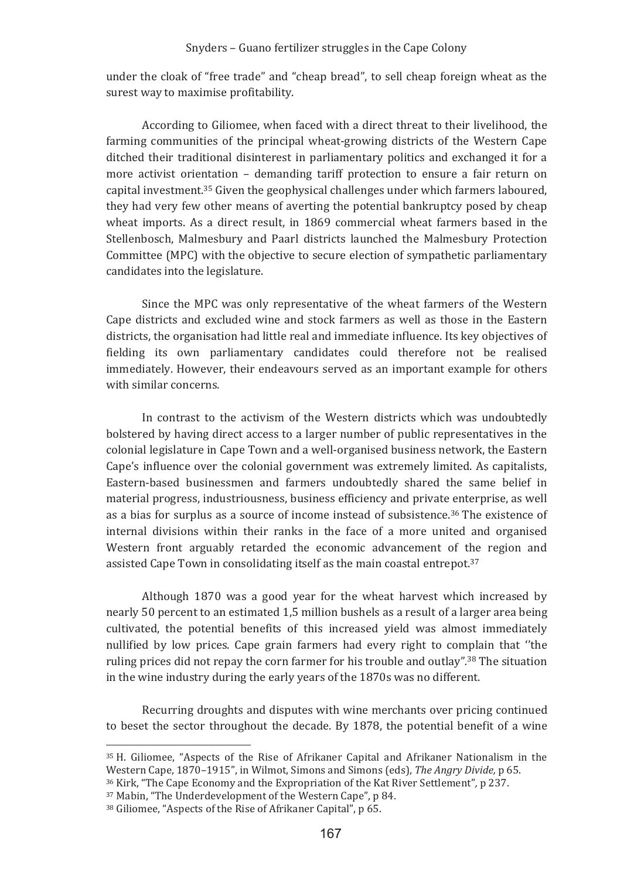under the cloak of "free trade" and "cheap bread", to sell cheap foreign wheat as the surest way to maximise profitability.

According to Giliomee, when faced with a direct threat to their livelihood, the farming communities of the principal wheat-growing districts of the Western Cape ditched their traditional disinterest in parliamentary politics and exchanged it for a more activist orientation - demanding tariff protection to ensure a fair return on capital investment.<sup>35</sup> Given the geophysical challenges under which farmers laboured. they had very few other means of averting the potential bankruptcy posed by cheap wheat imports. As a direct result, in 1869 commercial wheat farmers based in the Stellenbosch, Malmesbury and Paarl districts launched the Malmesbury Protection Committee (MPC) with the objective to secure election of sympathetic parliamentary candidates into the legislature.

Since the MPC was only representative of the wheat farmers of the Western Cape districts and excluded wine and stock farmers as well as those in the Eastern districts, the organisation had little real and immediate influence. Its key objectives of fielding its own parliamentary candidates could therefore not be realised immediately. However, their endeavours served as an important example for others with similar concerns

In contrast to the activism of the Western districts which was undoubtedly bolstered by having direct access to a larger number of public representatives in the colonial legislature in Cape Town and a well-organised business network, the Eastern Cape's influence over the colonial government was extremely limited. As capitalists, Eastern-based businessmen and farmers undoubtedly shared the same belief in material progress, industriousness, business efficiency and private enterprise, as well as a bias for surplus as a source of income instead of subsistence.<sup>36</sup> The existence of internal divisions within their ranks in the face of a more united and organised Western front arguably retarded the economic advancement of the region and assisted Cape Town in consolidating itself as the main coastal entrepot.<sup>37</sup>

Although 1870 was a good year for the wheat harvest which increased by nearly 50 percent to an estimated 1.5 million bushels as a result of a larger area being cultivated, the potential benefits of this increased yield was almost immediately nullified by low prices. Cape grain farmers had every right to complain that "the ruling prices did not repay the corn farmer for his trouble and outlay".<sup>38</sup> The situation in the wine industry during the early years of the 1870s was no different.

Recurring droughts and disputes with wine merchants over pricing continued to beset the sector throughout the decade. By 1878, the potential benefit of a wine

<sup>&</sup>lt;sup>35</sup> H. Giliomee. "Aspects of the Rise of Afrikaner Capital and Afrikaner Nationalism in the Western Cape, 1870–1915", in Wilmot, Simons and Simons (eds), The Angry Divide, p 65.

<sup>&</sup>lt;sup>36</sup> Kirk, "The Cape Economy and the Expropriation of the Kat River Settlement", p 237.

<sup>&</sup>lt;sup>37</sup> Mabin. "The Underdevelopment of the Western Cape", p 84.

<sup>&</sup>lt;sup>38</sup> Giliomee, "Aspects of the Rise of Afrikaner Capital", p 65.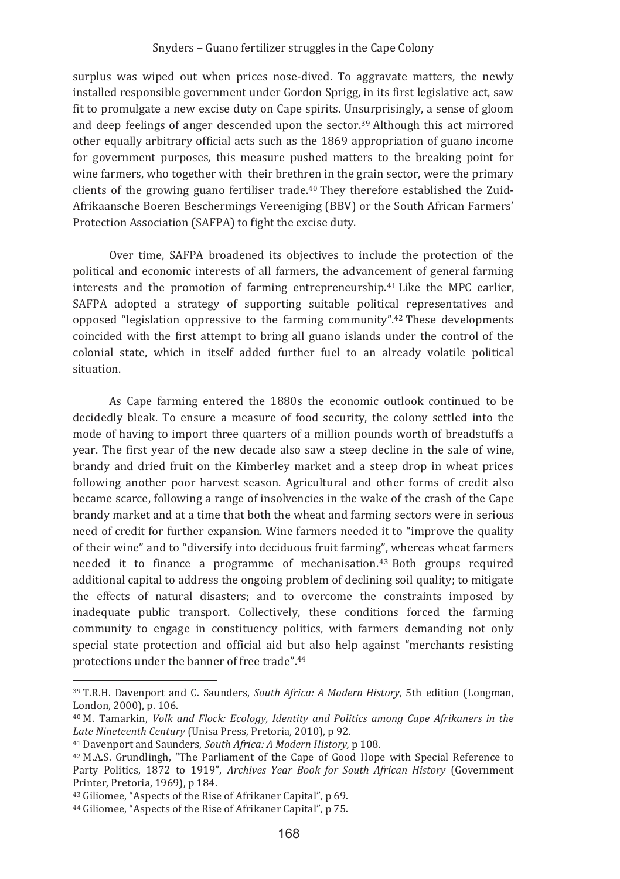surplus was wiped out when prices nose-dived. To aggravate matters, the newly installed responsible government under Gordon Sprigg, in its first legislative act, saw fit to promulgate a new excise duty on Cape spirits. Unsurprisingly, a sense of gloom and deep feelings of anger descended upon the sector.<sup>39</sup> Although this act mirrored other equally arbitrary official acts such as the 1869 appropriation of guano income for government purposes, this measure pushed matters to the breaking point for wine farmers, who together with their brethren in the grain sector, were the primary clients of the growing guano fertiliser trade.<sup>40</sup> They therefore established the Zuid-Afrikaansche Boeren Beschermings Vereeniging (BBV) or the South African Farmers' Protection Association (SAFPA) to fight the excise duty.

Over time. SAFPA broadened its objectives to include the protection of the political and economic interests of all farmers, the advancement of general farming interests and the promotion of farming entrepreneurship.<sup>41</sup> Like the MPC earlier. SAFPA adopted a strategy of supporting suitable political representatives and opposed "legislation oppressive to the farming community".<sup>42</sup> These developments coincided with the first attempt to bring all guano islands under the control of the colonial state, which in itself added further fuel to an already volatile political situation.

As Cape farming entered the 1880s the economic outlook continued to be decidedly bleak. To ensure a measure of food security, the colony settled into the mode of having to import three quarters of a million pounds worth of breadstuffs a year. The first year of the new decade also saw a steep decline in the sale of wine, brandy and dried fruit on the Kimberley market and a steep drop in wheat prices following another poor harvest season. Agricultural and other forms of credit also became scarce, following a range of insolvencies in the wake of the crash of the Cape brandy market and at a time that both the wheat and farming sectors were in serious need of credit for further expansion. Wine farmers needed it to "improve the quality" of their wine" and to "diversify into deciduous fruit farming", whereas wheat farmers needed it to finance a programme of mechanisation.<sup>43</sup> Both groups required additional capital to address the ongoing problem of declining soil quality; to mitigate the effects of natural disasters; and to overcome the constraints imposed by inadequate public transport. Collectively, these conditions forced the farming community to engage in constituency politics, with farmers demanding not only special state protection and official aid but also help against "merchants resisting protections under the banner of free trade".44

<sup>&</sup>lt;sup>39</sup> T.R.H. Davenport and C. Saunders, *South Africa: A Modern History*, 5th edition (Longman, London, 2000), p. 106.

<sup>&</sup>lt;sup>40</sup> M. Tamarkin, *Volk and Flock: Ecology, Identity and Politics among Cape Afrikaners in the* Late Nineteenth Century (Unisa Press, Pretoria, 2010), p 92.

<sup>&</sup>lt;sup>41</sup> Davenport and Saunders, South Africa: A Modern History, p 108.

<sup>&</sup>lt;sup>42</sup> M.A.S. Grundlingh. "The Parliament of the Cape of Good Hope with Special Reference to Party Politics, 1872 to 1919", Archives Year Book for South African History (Government Printer, Pretoria, 1969), p 184.

<sup>&</sup>lt;sup>43</sup> Giliomee. "Aspects of the Rise of Afrikaner Capital", p 69.

<sup>&</sup>lt;sup>44</sup> Giliomee, "Aspects of the Rise of Afrikaner Capital", p 75.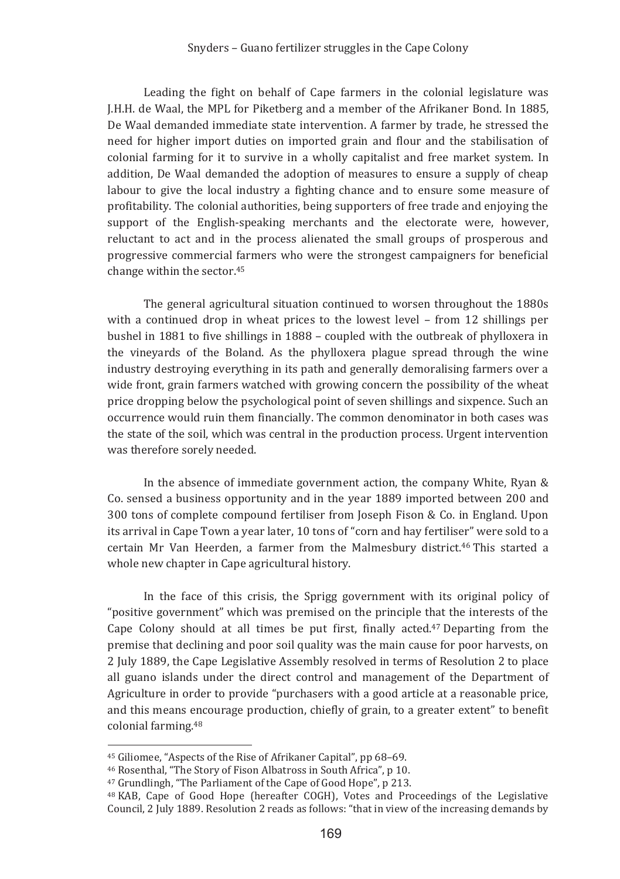Leading the fight on behalf of Cape farmers in the colonial legislature was J.H.H. de Waal, the MPL for Piketberg and a member of the Afrikaner Bond. In 1885, De Waal demanded immediate state intervention. A farmer by trade, he stressed the need for higher import duties on imported grain and flour and the stabilisation of colonial farming for it to survive in a wholly capitalist and free market system. In addition, De Waal demanded the adoption of measures to ensure a supply of cheap labour to give the local industry a fighting chance and to ensure some measure of profitability. The colonial authorities, being supporters of free trade and enjoying the support of the English-speaking merchants and the electorate were, however, reluctant to act and in the process alienated the small groups of prosperous and progressive commercial farmers who were the strongest campaigners for beneficial change within the sector.<sup>45</sup>

The general agricultural situation continued to worsen throughout the 1880s with a continued drop in wheat prices to the lowest level - from 12 shillings per bushel in 1881 to five shillings in 1888 – coupled with the outbreak of phylloxera in the vineyards of the Boland. As the phylloxera plague spread through the wine industry destroying everything in its path and generally demoralising farmers over a wide front, grain farmers watched with growing concern the possibility of the wheat price dropping below the psychological point of seven shillings and sixpence. Such an occurrence would ruin them financially. The common denominator in both cases was the state of the soil, which was central in the production process. Urgent intervention was therefore sorely needed.

In the absence of immediate government action, the company White, Ryan  $\&$ Co. sensed a business opportunity and in the year 1889 imported between 200 and 300 tons of complete compound fertiliser from Joseph Fison & Co. in England, Upon its arrival in Cape Town a year later, 10 tons of "corn and hay fertiliser" were sold to a certain Mr Van Heerden, a farmer from the Malmesbury district.<sup>46</sup> This started a whole new chapter in Cape agricultural history.

In the face of this crisis, the Sprigg government with its original policy of "positive government" which was premised on the principle that the interests of the Cape Colony should at all times be put first, finally acted.<sup>47</sup> Departing from the premise that declining and poor soil quality was the main cause for poor harvests, on 2 July 1889, the Cape Legislative Assembly resolved in terms of Resolution 2 to place all guano islands under the direct control and management of the Department of Agriculture in order to provide "purchasers with a good article at a reasonable price, and this means encourage production, chiefly of grain, to a greater extent" to benefit colonial farming.<sup>48</sup>

<sup>&</sup>lt;sup>45</sup> Giliomee. "Aspects of the Rise of Afrikaner Capital", pp 68-69.

<sup>&</sup>lt;sup>46</sup> Rosenthal, "The Story of Fison Albatross in South Africa", p 10.

<sup>&</sup>lt;sup>47</sup> Grundlingh, "The Parliament of the Cape of Good Hope", p 213.

<sup>&</sup>lt;sup>48</sup> KAB, Cape of Good Hope (hereafter COGH), Votes and Proceedings of the Legislative Council, 2 July 1889. Resolution 2 reads as follows: "that in view of the increasing demands by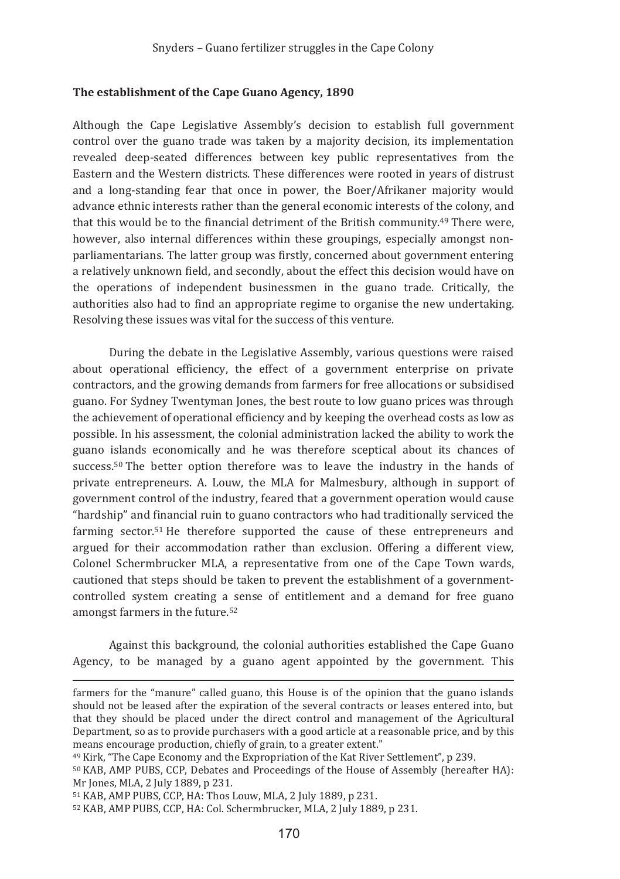### The establishment of the Cape Guano Agency, 1890

Although the Cape Legislative Assembly's decision to establish full government control over the guano trade was taken by a majority decision, its implementation revealed deep-seated differences between key public representatives from the Eastern and the Western districts. These differences were rooted in years of distrust and a long-standing fear that once in power, the Boer/Afrikaner majority would advance ethnic interests rather than the general economic interests of the colony, and that this would be to the financial detriment of the British community.<sup>49</sup> There were, however, also internal differences within these groupings, especially amongst nonparliamentarians. The latter group was firstly, concerned about government entering a relatively unknown field, and secondly, about the effect this decision would have on the operations of independent businessmen in the guano trade. Critically, the authorities also had to find an appropriate regime to organise the new undertaking. Resolving these issues was vital for the success of this venture.

During the debate in the Legislative Assembly, various questions were raised about operational efficiency, the effect of a government enterprise on private contractors, and the growing demands from farmers for free allocations or subsidised guano. For Sydney Twentyman Jones, the best route to low guano prices was through the achievement of operational efficiency and by keeping the overhead costs as low as possible. In his assessment, the colonial administration lacked the ability to work the guano islands economically and he was therefore sceptical about its chances of success.<sup>50</sup> The better option therefore was to leave the industry in the hands of private entrepreneurs. A. Louw, the MLA for Malmesbury, although in support of government control of the industry, feared that a government operation would cause "hardship" and financial ruin to guano contractors who had traditionally serviced the farming sector.<sup>51</sup> He therefore supported the cause of these entrepreneurs and argued for their accommodation rather than exclusion. Offering a different view, Colonel Schermbrucker MLA, a representative from one of the Cape Town wards, cautioned that steps should be taken to prevent the establishment of a governmentcontrolled system creating a sense of entitlement and a demand for free guano amongst farmers in the future.<sup>52</sup>

Against this background, the colonial authorities established the Cape Guano Agency, to be managed by a guano agent appointed by the government. This

farmers for the "manure" called guano, this House is of the opinion that the guano islands should not be leased after the expiration of the several contracts or leases entered into, but that they should be placed under the direct control and management of the Agricultural Department, so as to provide purchasers with a good article at a reasonable price, and by this means encourage production, chiefly of grain, to a greater extent."

<sup>&</sup>lt;sup>49</sup> Kirk, "The Cape Economy and the Expropriation of the Kat River Settlement", p 239.

<sup>&</sup>lt;sup>50</sup> KAB, AMP PUBS, CCP, Debates and Proceedings of the House of Assembly (hereafter HA): Mr Jones, MLA, 2 July 1889, p 231.

<sup>&</sup>lt;sup>51</sup> KAB, AMP PUBS, CCP, HA: Thos Louw, MLA, 2 July 1889, p 231.

<sup>&</sup>lt;sup>52</sup> KAB, AMP PUBS, CCP, HA: Col. Schermbrucker, MLA, 2 July 1889, p 231.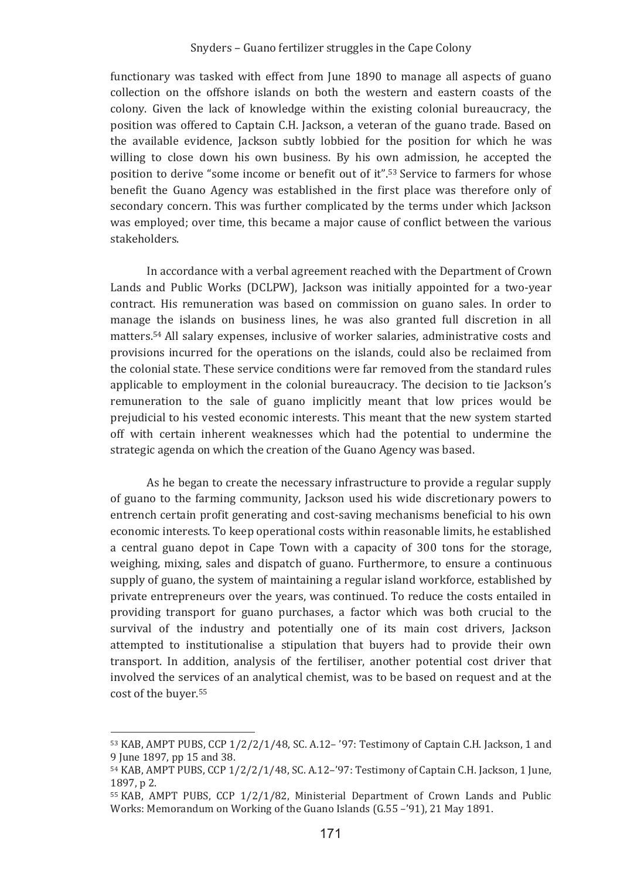functionary was tasked with effect from June 1890 to manage all aspects of guano collection on the offshore islands on both the western and eastern coasts of the colony. Given the lack of knowledge within the existing colonial bureaucracy, the position was offered to Captain C.H. Jackson, a veteran of the guano trade. Based on the available evidence. Jackson subtly lobbied for the position for which he was willing to close down his own business. By his own admission, he accepted the position to derive "some income or benefit out of it".<sup>53</sup> Service to farmers for whose benefit the Guano Agency was established in the first place was therefore only of secondary concern. This was further complicated by the terms under which Jackson was employed; over time, this became a major cause of conflict between the various stakeholders

In accordance with a verbal agreement reached with the Department of Crown Lands and Public Works (DCLPW). Jackson was initially appointed for a two-year contract. His remuneration was based on commission on guano sales. In order to manage the islands on business lines, he was also granted full discretion in all matters.<sup>54</sup> All salary expenses, inclusive of worker salaries, administrative costs and provisions incurred for the operations on the islands, could also be reclaimed from the colonial state. These service conditions were far removed from the standard rules applicable to employment in the colonial bureaucracy. The decision to tie Jackson's remuneration to the sale of guano implicitly meant that low prices would be prejudicial to his vested economic interests. This meant that the new system started off with certain inherent weaknesses which had the potential to undermine the strategic agenda on which the creation of the Guano Agency was based.

As he began to create the necessary infrastructure to provide a regular supply of guano to the farming community, Jackson used his wide discretionary powers to entrench certain profit generating and cost-saving mechanisms beneficial to his own economic interests. To keep operational costs within reasonable limits, he established a central guano depot in Cape Town with a capacity of 300 tons for the storage, weighing, mixing, sales and dispatch of guano. Furthermore, to ensure a continuous supply of guano, the system of maintaining a regular island workforce, established by private entrepreneurs over the years, was continued. To reduce the costs entailed in providing transport for guano purchases, a factor which was both crucial to the survival of the industry and potentially one of its main cost drivers, Jackson attempted to institutionalise a stipulation that buyers had to provide their own transport. In addition, analysis of the fertiliser, another potential cost driver that involved the services of an analytical chemist, was to be based on request and at the cost of the buyer.<sup>55</sup>

<sup>53</sup> KAB, AMPT PUBS, CCP 1/2/2/1/48, SC. A.12-'97: Testimony of Captain C.H. Jackson, 1 and 9 June 1897, pp 15 and 38.

 $54$  KAB, AMPT PUBS, CCP  $1/2/2/1/48$ , SC. A.12-'97: Testimony of Captain C.H. Jackson, 1 June, 1897, p 2.

<sup>&</sup>lt;sup>55</sup> KAB, AMPT PUBS, CCP 1/2/1/82. Ministerial Department of Crown Lands and Public Works: Memorandum on Working of the Guano Islands (G.55 -'91), 21 May 1891.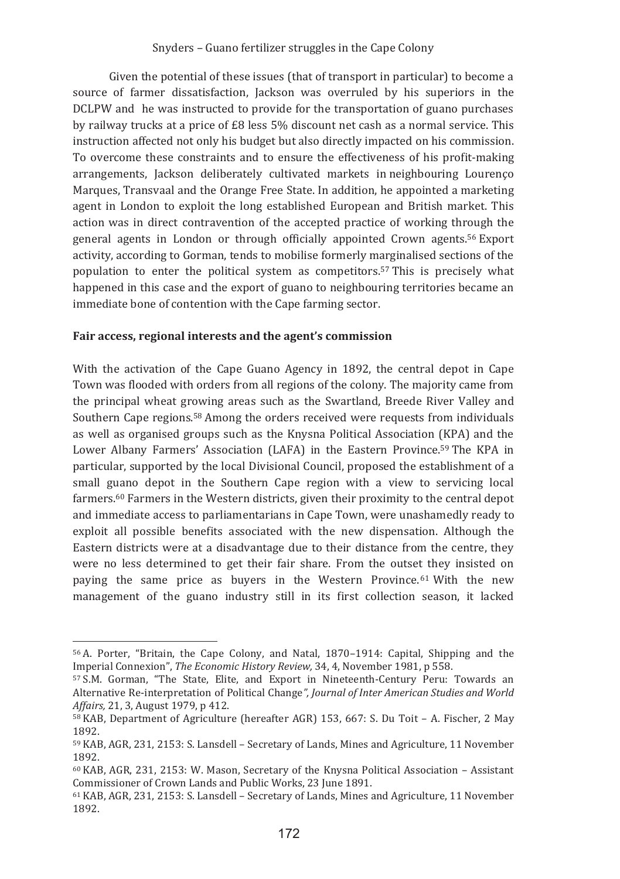Given the potential of these issues (that of transport in particular) to become a source of farmer dissatisfaction, Jackson was overruled by his superiors in the DCLPW and he was instructed to provide for the transportation of guano purchases by railway trucks at a price of £8 less 5% discount net cash as a normal service. This instruction affected not only his budget but also directly impacted on his commission. To overcome these constraints and to ensure the effectiveness of his profit-making arrangements, Jackson deliberately cultivated markets in neighbouring Lourenço Marques. Transvaal and the Orange Free State. In addition, he appointed a marketing agent in London to exploit the long established European and British market. This action was in direct contravention of the accepted practice of working through the general agents in London or through officially appointed Crown agents.<sup>56</sup> Export activity, according to Gorman, tends to mobilise formerly marginalised sections of the population to enter the political system as competitors.<sup>57</sup> This is precisely what happened in this case and the export of guano to neighbouring territories became an immediate bone of contention with the Cape farming sector.

### Fair access, regional interests and the agent's commission

With the activation of the Cape Guano Agency in 1892, the central depot in Cape Town was flooded with orders from all regions of the colony. The majority came from the principal wheat growing areas such as the Swartland, Breede River Valley and Southern Cape regions.<sup>58</sup> Among the orders received were requests from individuals as well as organised groups such as the Knysna Political Association (KPA) and the Lower Albany Farmers' Association (LAFA) in the Eastern Province.<sup>59</sup> The KPA in particular, supported by the local Divisional Council, proposed the establishment of a small guano depot in the Southern Cape region with a view to servicing local farmers.<sup>60</sup> Farmers in the Western districts, given their proximity to the central depot and immediate access to parliamentarians in Cape Town, were unashamedly ready to exploit all possible benefits associated with the new dispensation. Although the Eastern districts were at a disadvantage due to their distance from the centre, they were no less determined to get their fair share. From the outset they insisted on paying the same price as buyers in the Western Province.<sup>61</sup> With the new management of the guano industry still in its first collection season, it lacked

<sup>&</sup>lt;sup>56</sup> A. Porter, "Britain, the Cape Colony, and Natal, 1870–1914; Capital, Shipping and the Imperial Connexion". The Economic History Review. 34. 4. November 1981. p 558.

<sup>&</sup>lt;sup>57</sup> S.M. Gorman. "The State. Elite. and Export in Nineteenth-Century Peru: Towards an Alternative Re-interpretation of Political Change", Journal of Inter American Studies and World Affairs, 21, 3, August 1979, p 412.

<sup>58</sup> KAB, Department of Agriculture (hereafter AGR) 153, 667: S. Du Toit - A. Fischer, 2 May 1892.

<sup>&</sup>lt;sup>59</sup> KAB, AGR, 231, 2153: S. Lansdell - Secretary of Lands, Mines and Agriculture, 11 November 1892.

 $60$  KAB, AGR, 231, 2153: W. Mason, Secretary of the Knysna Political Association - Assistant Commissioner of Crown Lands and Public Works, 23 June 1891.

 $61$  KAB, AGR, 231, 2153; S. Lansdell – Secretary of Lands. Mines and Agriculture, 11 November 1892.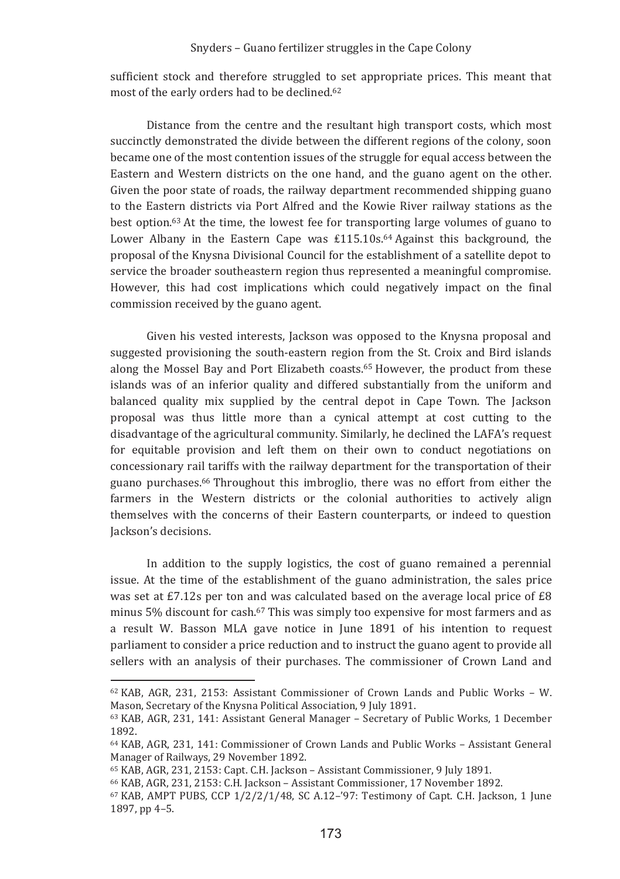sufficient stock and therefore struggled to set appropriate prices. This meant that most of the early orders had to be declined.<sup>62</sup>

Distance from the centre and the resultant high transport costs, which most succinctly demonstrated the divide between the different regions of the colony, soon became one of the most contention issues of the struggle for equal access between the Eastern and Western districts on the one hand, and the guano agent on the other. Given the poor state of roads, the railway department recommended shipping guano to the Eastern districts via Port Alfred and the Kowie River railway stations as the best option.<sup>63</sup> At the time, the lowest fee for transporting large volumes of guano to Lower Albany in the Eastern Cape was £115.10s.<sup>64</sup> Against this background, the proposal of the Knysna Divisional Council for the establishment of a satellite depot to service the broader southeastern region thus represented a meaningful compromise. However, this had cost implications which could negatively impact on the final commission received by the guano agent.

Given his vested interests. Jackson was opposed to the Knysna proposal and suggested provisioning the south-eastern region from the St. Croix and Bird islands along the Mossel Bay and Port Elizabeth coasts.<sup>65</sup> However, the product from these islands was of an inferior quality and differed substantially from the uniform and balanced quality mix supplied by the central depot in Cape Town. The Jackson proposal was thus little more than a cynical attempt at cost cutting to the disadvantage of the agricultural community. Similarly, he declined the LAFA's request for equitable provision and left them on their own to conduct negotiations on concessionary rail tariffs with the railway department for the transportation of their guano purchases.<sup>66</sup> Throughout this imbroglio, there was no effort from either the farmers in the Western districts or the colonial authorities to actively align themselves with the concerns of their Eastern counterparts, or indeed to question Jackson's decisions.

In addition to the supply logistics, the cost of guano remained a perennial issue. At the time of the establishment of the guano administration, the sales price was set at £7.12s per ton and was calculated based on the average local price of £8 minus 5% discount for cash.<sup>67</sup> This was simply too expensive for most farmers and as a result W. Basson MLA gave notice in June 1891 of his intention to request parliament to consider a price reduction and to instruct the guano agent to provide all sellers with an analysis of their purchases. The commissioner of Crown Land and

 $62$  KAB, AGR, 231, 2153; Assistant Commissioner of Crown Lands and Public Works - W. Mason, Secretary of the Knysna Political Association, 9 July 1891.

<sup>63</sup> KAB, AGR, 231, 141: Assistant General Manager - Secretary of Public Works, 1 December 1892.

<sup>&</sup>lt;sup>64</sup> KAB, AGR, 231, 141; Commissioner of Crown Lands and Public Works - Assistant General Manager of Railways, 29 November 1892.

<sup>&</sup>lt;sup>65</sup> KAB, AGR, 231, 2153: Capt. C.H. Jackson - Assistant Commissioner, 9 July 1891.

<sup>&</sup>lt;sup>66</sup> KAB, AGR, 231, 2153: C.H. Jackson - Assistant Commissioner, 17 November 1892.

 $67$  KAB, AMPT PUBS, CCP  $1/2/2/1/48$ , SC A.12-'97: Testimony of Capt, C.H. Jackson, 1 June 1897, pp 4-5.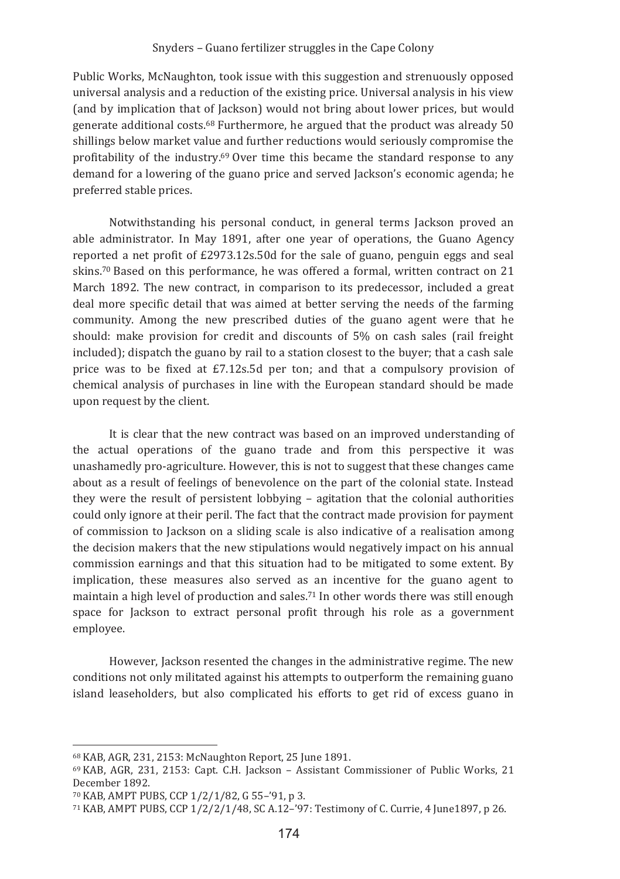Public Works, McNaughton, took issue with this suggestion and strenuously opposed universal analysis and a reduction of the existing price. Universal analysis in his view (and by implication that of Jackson) would not bring about lower prices, but would generate additional costs.<sup>68</sup> Furthermore, he argued that the product was already 50 shillings below market value and further reductions would seriously compromise the profitability of the industry.<sup>69</sup> Over time this became the standard response to any demand for a lowering of the guano price and served Jackson's economic agenda; he preferred stable prices.

Notwithstanding his personal conduct, in general terms Jackson proved an able administrator. In May 1891, after one year of operations, the Guano Agency reported a net profit of £2973.12s.50d for the sale of guano, penguin eggs and seal skins.70 Based on this performance, he was offered a formal, written contract on 21 March 1892. The new contract, in comparison to its predecessor, included a great deal more specific detail that was aimed at better serving the needs of the farming community. Among the new prescribed duties of the guano agent were that he should: make provision for credit and discounts of 5% on cash sales (rail freight included); dispatch the guano by rail to a station closest to the buyer; that a cash sale price was to be fixed at £7.12s.5d per ton; and that a compulsory provision of chemical analysis of purchases in line with the European standard should be made upon request by the client.

It is clear that the new contract was based on an improved understanding of the actual operations of the guano trade and from this perspective it was unashamedly pro-agriculture. However, this is not to suggest that these changes came about as a result of feelings of benevolence on the part of the colonial state. Instead they were the result of persistent lobbying - agitation that the colonial authorities could only ignore at their peril. The fact that the contract made provision for payment of commission to Jackson on a sliding scale is also indicative of a realisation among the decision makers that the new stipulations would negatively impact on his annual commission earnings and that this situation had to be mitigated to some extent. By implication, these measures also served as an incentive for the guano agent to maintain a high level of production and sales.<sup>71</sup> In other words there was still enough space for Jackson to extract personal profit through his role as a government employee.

However, Jackson resented the changes in the administrative regime. The new conditions not only militated against his attempts to outperform the remaining guano island leaseholders, but also complicated his efforts to get rid of excess guano in

<sup>68</sup> KAB, AGR, 231, 2153; McNaughton Report, 25 June 1891.

<sup>&</sup>lt;sup>69</sup> KAB, AGR, 231, 2153: Capt. C.H. Jackson - Assistant Commissioner of Public Works, 21 December 1892.

<sup>&</sup>lt;sup>70</sup> KAB, AMPT PUBS, CCP 1/2/1/82, G 55-'91, p 3.

<sup>71</sup> KAB, AMPT PUBS, CCP 1/2/2/1/48, SC A.12-'97: Testimony of C. Currie, 4 June 1897, p 26.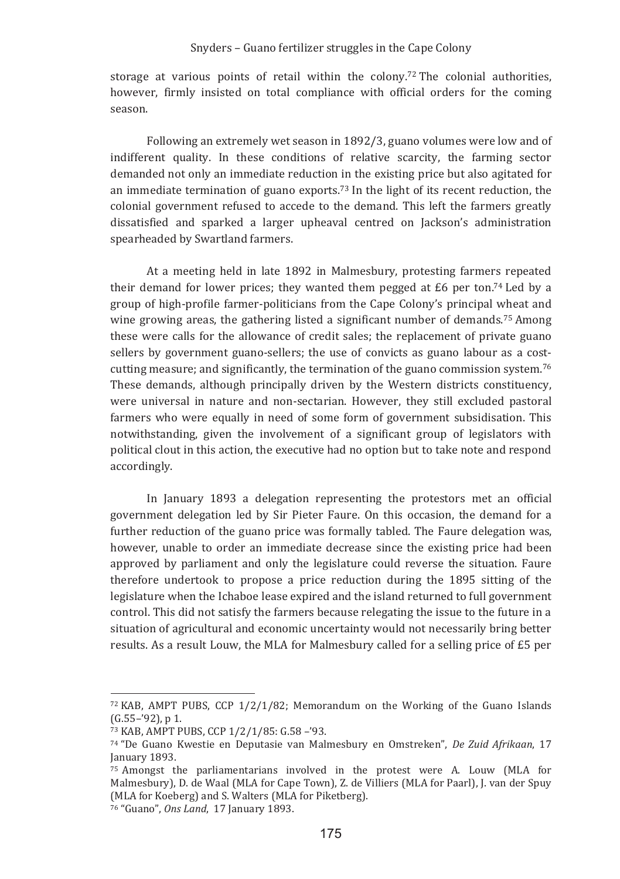storage at various points of retail within the colony.<sup>72</sup> The colonial authorities, however, firmly insisted on total compliance with official orders for the coming season

Following an extremely wet season in 1892/3, guano volumes were low and of indifferent quality. In these conditions of relative scarcity, the farming sector demanded not only an immediate reduction in the existing price but also agitated for an immediate termination of guano exports.<sup>73</sup> In the light of its recent reduction, the colonial government refused to accede to the demand. This left the farmers greatly dissatisfied and sparked a larger upheaval centred on Jackson's administration spearheaded by Swartland farmers.

At a meeting held in late 1892 in Malmesbury, protesting farmers repeated their demand for lower prices: they wanted them pegged at  $E6$  per ton.<sup>74</sup> Led by a group of high-profile farmer-politicians from the Cape Colony's principal wheat and wine growing areas, the gathering listed a significant number of demands.<sup>75</sup> Among these were calls for the allowance of credit sales; the replacement of private guano sellers by government guano-sellers; the use of convicts as guano labour as a costcutting measure; and significantly, the termination of the guano commission system.<sup>76</sup> These demands, although principally driven by the Western districts constituency. were universal in nature and non-sectarian. However, they still excluded pastoral farmers who were equally in need of some form of government subsidisation. This notwithstanding, given the involvement of a significant group of legislators with political clout in this action, the executive had no option but to take note and respond accordingly.

In January 1893 a delegation representing the protestors met an official government delegation led by Sir Pieter Faure. On this occasion, the demand for a further reduction of the guano price was formally tabled. The Faure delegation was, however, unable to order an immediate decrease since the existing price had been approved by parliament and only the legislature could reverse the situation. Faure therefore undertook to propose a price reduction during the 1895 sitting of the legislature when the Ichaboe lease expired and the island returned to full government control. This did not satisfy the farmers because relegating the issue to the future in a situation of agricultural and economic uncertainty would not necessarily bring better results. As a result Louw, the MLA for Malmesbury called for a selling price of £5 per

 $72$  KAB, AMPT PUBS, CCP  $1/2/1/82$ ; Memorandum on the Working of the Guano Islands  $(G.55-92)$ , p 1.

<sup>73</sup> KAB, AMPT PUBS, CCP 1/2/1/85: G.58-'93.

<sup>74 &</sup>quot;De Guano Kwestie en Deputasie van Malmesbury en Omstreken", De Zuid Afrikaan, 17 January 1893.

<sup>&</sup>lt;sup>75</sup> Amongst the parliamentarians involved in the protest were A. Louw (MLA for Malmesbury), D. de Waal (MLA for Cape Town), Z. de Villiers (MLA for Paarl), J. van der Spuy (MLA for Koeberg) and S. Walters (MLA for Piketberg).

<sup>76 &</sup>quot;Guano", Ons Land, 17 January 1893.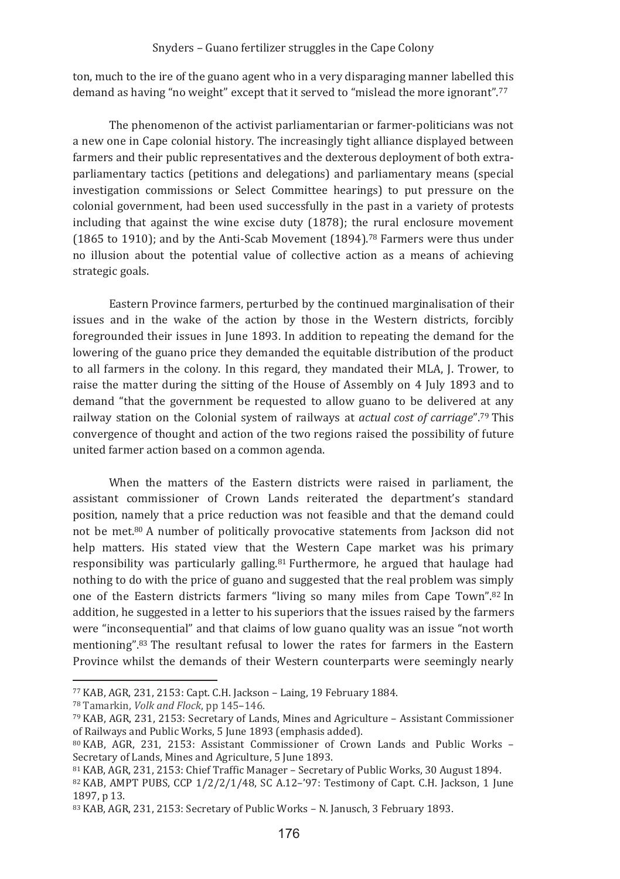ton, much to the ire of the guano agent who in a very disparaging manner labelled this demand as having "no weight" except that it served to "mislead the more ignorant".77

The phenomenon of the activist parliamentarian or farmer-politicians was not a new one in Cape colonial history. The increasingly tight alliance displayed between farmers and their public representatives and the dexterous deployment of both extraparliamentary tactics (petitions and delegations) and parliamentary means (special investigation commissions or Select Committee hearings) to put pressure on the colonial government, had been used successfully in the past in a variety of protests including that against the wine excise duty (1878); the rural enclosure movement (1865 to 1910); and by the Anti-Scab Movement (1894).<sup>78</sup> Farmers were thus under no illusion about the potential value of collective action as a means of achieving strategic goals.

Eastern Province farmers, perturbed by the continued marginalisation of their issues and in the wake of the action by those in the Western districts, forcibly foregrounded their issues in June 1893. In addition to repeating the demand for the lowering of the guano price they demanded the equitable distribution of the product to all farmers in the colony. In this regard, they mandated their MLA, J. Trower, to raise the matter during the sitting of the House of Assembly on 4 July 1893 and to demand "that the government be requested to allow guano to be delivered at any railway station on the Colonial system of railways at actual cost of carriage".<sup>79</sup> This convergence of thought and action of the two regions raised the possibility of future united farmer action based on a common agenda.

When the matters of the Eastern districts were raised in parliament, the assistant commissioner of Crown Lands reiterated the department's standard position, namely that a price reduction was not feasible and that the demand could not be met.<sup>80</sup> A number of politically provocative statements from Jackson did not help matters. His stated view that the Western Cape market was his primary responsibility was particularly galling.<sup>81</sup> Furthermore, he argued that haulage had nothing to do with the price of guano and suggested that the real problem was simply one of the Eastern districts farmers "living so many miles from Cape Town".82 In addition, he suggested in a letter to his superiors that the issues raised by the farmers were "inconsequential" and that claims of low guano quality was an issue "not worth mentioning".<sup>83</sup> The resultant refusal to lower the rates for farmers in the Eastern Province whilst the demands of their Western counterparts were seemingly nearly

<sup>77</sup> KAB, AGR, 231, 2153: Capt. C.H. Jackson - Laing, 19 February 1884.

<sup>&</sup>lt;sup>78</sup> Tamarkin, *Volk and Flock*, pp 145-146.

<sup>79</sup> KAB, AGR, 231, 2153: Secretary of Lands, Mines and Agriculture - Assistant Commissioner of Railways and Public Works, 5 June 1893 (emphasis added).

<sup>80</sup> KAB, AGR, 231, 2153: Assistant Commissioner of Crown Lands and Public Works -Secretary of Lands. Mines and Agriculture, 5 June 1893.

<sup>&</sup>lt;sup>81</sup> KAB, AGR, 231, 2153: Chief Traffic Manager - Secretary of Public Works, 30 August 1894.

<sup>82</sup> KAB, AMPT PUBS, CCP 1/2/2/1/48, SC A.12-'97: Testimony of Capt. C.H. Jackson, 1 June 1897. p 13.

<sup>83</sup> KAB, AGR, 231, 2153: Secretary of Public Works - N. Janusch, 3 February 1893.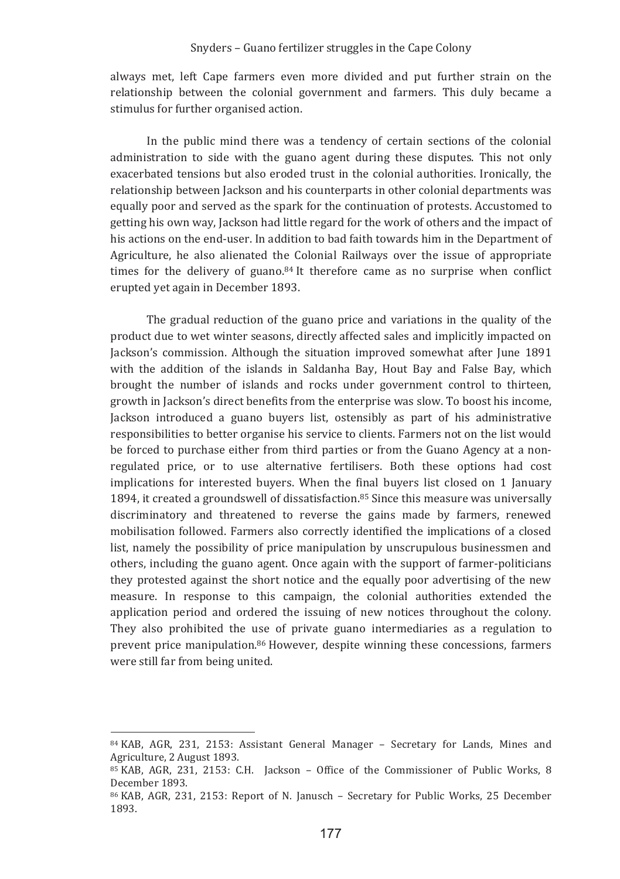always met, left Cape farmers even more divided and put further strain on the relationship between the colonial government and farmers. This duly became a stimulus for further organised action.

In the public mind there was a tendency of certain sections of the colonial administration to side with the guano agent during these disputes. This not only exacerbated tensions but also eroded trust in the colonial authorities. Ironically, the relationship between Jackson and his counterparts in other colonial departments was equally poor and served as the spark for the continuation of protests. Accustomed to getting his own way, Jackson had little regard for the work of others and the impact of his actions on the end-user. In addition to bad faith towards him in the Department of Agriculture, he also alienated the Colonial Railways over the issue of appropriate times for the delivery of guano.<sup>84</sup> It therefore came as no surprise when conflict erupted yet again in December 1893.

The gradual reduction of the guano price and variations in the quality of the product due to wet winter seasons, directly affected sales and implicitly impacted on Jackson's commission. Although the situation improved somewhat after June 1891 with the addition of the islands in Saldanha Bay, Hout Bay and False Bay, which brought the number of islands and rocks under government control to thirteen. growth in Jackson's direct benefits from the enterprise was slow. To boost his income, Jackson introduced a guano buyers list, ostensibly as part of his administrative responsibilities to better organise his service to clients. Farmers not on the list would be forced to purchase either from third parties or from the Guano Agency at a nonregulated price, or to use alternative fertilisers. Both these options had cost implications for interested buyers. When the final buyers list closed on 1 January 1894, it created a groundswell of dissatisfaction.<sup>85</sup> Since this measure was universally discriminatory and threatened to reverse the gains made by farmers, renewed mobilisation followed. Farmers also correctly identified the implications of a closed list, namely the possibility of price manipulation by unscrupulous businessmen and others, including the guano agent. Once again with the support of farmer-politicians they protested against the short notice and the equally poor advertising of the new measure. In response to this campaign, the colonial authorities extended the application period and ordered the issuing of new notices throughout the colony. They also prohibited the use of private guano intermediaries as a regulation to prevent price manipulation.<sup>86</sup> However, despite winning these concessions, farmers were still far from being united.

<sup>84</sup> KAB, AGR, 231, 2153: Assistant General Manager - Secretary for Lands, Mines and Agriculture, 2 August 1893.

<sup>&</sup>lt;sup>85</sup> KAB, AGR, 231, 2153: C.H. Jackson - Office of the Commissioner of Public Works, 8 December 1893.

<sup>&</sup>lt;sup>86</sup> KAB, AGR, 231, 2153; Report of N. Janusch - Secretary for Public Works, 25 December 1893.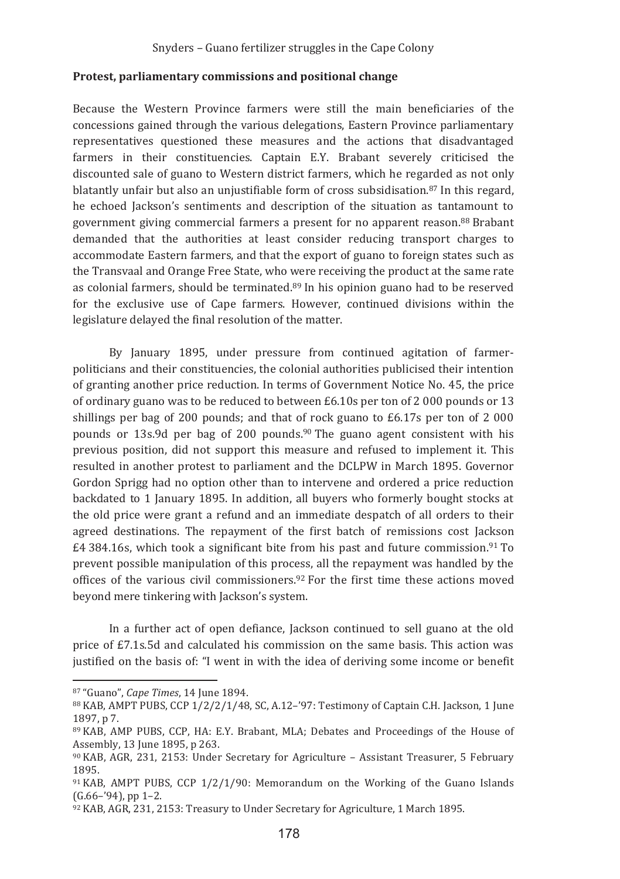#### Protest, parliamentary commissions and positional change

Because the Western Province farmers were still the main beneficiaries of the concessions gained through the various delegations. Eastern Province parliamentary representatives questioned these measures and the actions that disadvantaged farmers in their constituencies. Captain E.Y. Brabant severely criticised the discounted sale of guano to Western district farmers, which he regarded as not only blatantly unfair but also an uniustifiable form of cross subsidisation.<sup>87</sup> In this regard. he echoed Jackson's sentiments and description of the situation as tantamount to government giving commercial farmers a present for no apparent reason.<sup>88</sup> Brabant demanded that the authorities at least consider reducing transport charges to accommodate Eastern farmers, and that the export of guano to foreign states such as the Transvaal and Orange Free State, who were receiving the product at the same rate as colonial farmers, should be terminated.<sup>89</sup> In his opinion guano had to be reserved for the exclusive use of Cape farmers. However, continued divisions within the legislature delayed the final resolution of the matter.

By January 1895, under pressure from continued agitation of farmerpoliticians and their constituencies, the colonial authorities publicised their intention of granting another price reduction. In terms of Government Notice No. 45, the price of ordinary guano was to be reduced to between £6.10s per ton of 2 000 pounds or 13 shillings per bag of 200 pounds; and that of rock guano to  $£6.17s$  per ton of 2000 pounds or 13s.9d per bag of 200 pounds.<sup>90</sup> The guano agent consistent with his previous position, did not support this measure and refused to implement it. This resulted in another protest to parliament and the DCLPW in March 1895. Governor Gordon Sprigg had no option other than to intervene and ordered a price reduction backdated to 1 January 1895. In addition, all buyers who formerly bought stocks at the old price were grant a refund and an immediate despatch of all orders to their agreed destinations. The repayment of the first batch of remissions cost Jackson £4 384.16s, which took a significant bite from his past and future commission.<sup>91</sup> To prevent possible manipulation of this process, all the repayment was handled by the offices of the various civil commissioners.<sup>92</sup> For the first time these actions moved beyond mere tinkering with Jackson's system.

In a further act of open defiance, Jackson continued to sell guano at the old price of £7.1s.5d and calculated his commission on the same basis. This action was justified on the basis of: "I went in with the idea of deriving some income or benefit

<sup>&</sup>lt;sup>87</sup> "Guano", Cape Times, 14 June 1894.

<sup>88</sup> KAB, AMPT PUBS, CCP 1/2/2/1/48, SC, A.12-'97: Testimony of Captain C.H. Jackson, 1 June 1897, p 7.

<sup>89</sup> KAB, AMP PUBS, CCP, HA: E.Y. Brabant, MLA: Debates and Proceedings of the House of Assembly, 13 June 1895, p 263.

<sup>90</sup> KAB, AGR, 231, 2153; Under Secretary for Agriculture - Assistant Treasurer, 5 February 1895.

 $91$  KAB, AMPT PUBS, CCP  $1/2/1/90$ : Memorandum on the Working of the Guano Islands  $(G.66 - 94)$ , pp 1-2.

<sup>92</sup> KAB, AGR, 231, 2153: Treasury to Under Secretary for Agriculture, 1 March 1895.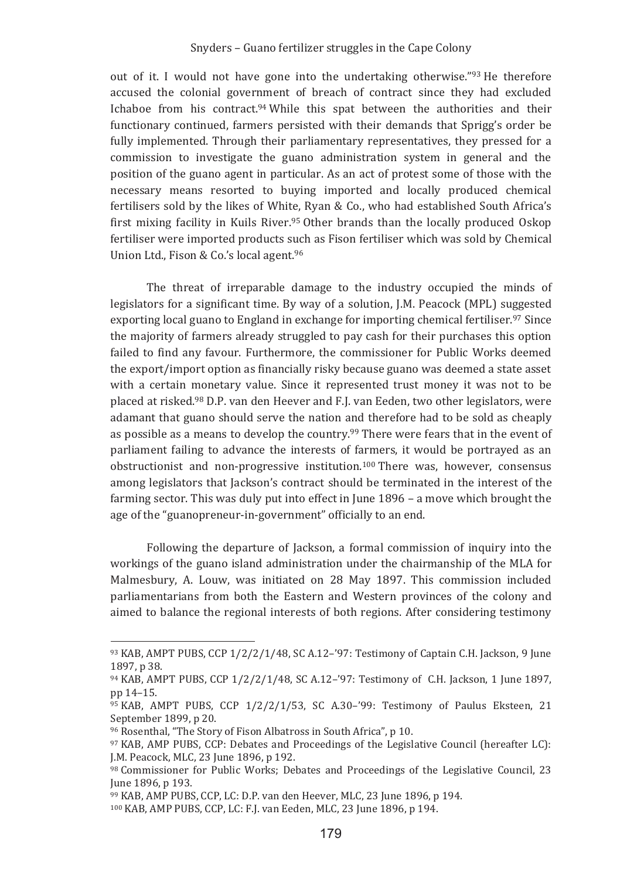out of it. I would not have gone into the undertaking otherwise."93 He therefore accused the colonial government of breach of contract since they had excluded Ichaboe from his contract.<sup>94</sup> While this spat between the authorities and their functionary continued, farmers persisted with their demands that Sprigg's order be fully implemented. Through their parliamentary representatives, they pressed for a commission to investigate the guano administration system in general and the position of the guano agent in particular. As an act of protest some of those with the necessary means resorted to buying imported and locally produced chemical fertilisers sold by the likes of White, Ryan & Co., who had established South Africa's first mixing facility in Kuils River.95 Other brands than the locally produced Oskop fertiliser were imported products such as Fison fertiliser which was sold by Chemical Union Ltd., Fison & Co.'s local agent.96

The threat of irreparable damage to the industry occupied the minds of legislators for a significant time. By way of a solution, J.M. Peacock (MPL) suggested exporting local guano to England in exchange for importing chemical fertiliser.<sup>97</sup> Since the majority of farmers already struggled to pay cash for their purchases this option failed to find any favour. Furthermore, the commissioner for Public Works deemed the export/import option as financially risky because guano was deemed a state asset with a certain monetary value. Since it represented trust money it was not to be placed at risked.<sup>98</sup> D.P. van den Heever and F.J. van Eeden, two other legislators, were adamant that guano should serve the nation and therefore had to be sold as cheaply as possible as a means to develop the country.<sup>99</sup> There were fears that in the event of parliament failing to advance the interests of farmers, it would be portrayed as an obstructionist and non-progressive institution.<sup>100</sup> There was, however, consensus among legislators that Jackson's contract should be terminated in the interest of the farming sector. This was duly put into effect in June 1896 - a move which brought the age of the "guanopreneur-in-government" officially to an end.

Following the departure of Jackson, a formal commission of inquiry into the workings of the guano island administration under the chairmanship of the MLA for Malmesbury, A. Louw, was initiated on 28 May 1897. This commission included parliamentarians from both the Eastern and Western provinces of the colony and aimed to balance the regional interests of both regions. After considering testimony

 $93$  KAB, AMPT PUBS, CCP  $1/2/2/1/48$ , SC A.12-'97: Testimony of Captain C.H. Jackson, 9 June 1897. p 38.

<sup>94</sup> KAB, AMPT PUBS, CCP 1/2/2/1/48, SC A.12-'97: Testimony of C.H. Jackson, 1 June 1897, pp 14-15.

<sup>95</sup> KAB, AMPT PUBS, CCP 1/2/2/1/53, SC A.30-'99: Testimony of Paulus Eksteen, 21 September 1899, p 20.

<sup>96</sup> Rosenthal, "The Story of Fison Albatross in South Africa". p 10.

<sup>97</sup> KAB, AMP PUBS, CCP: Debates and Proceedings of the Legislative Council (hereafter LC): I.M. Peacock. MLC. 23 June 1896. p 192.

<sup>98</sup> Commissioner for Public Works; Debates and Proceedings of the Legislative Council, 23 June 1896, p 193.

<sup>99</sup> KAB, AMP PUBS, CCP, LC: D.P. van den Heever, MLC, 23 June 1896, p 194.

<sup>100</sup> KAB, AMP PUBS, CCP, LC: F.J. van Eeden, MLC, 23 June 1896, p 194.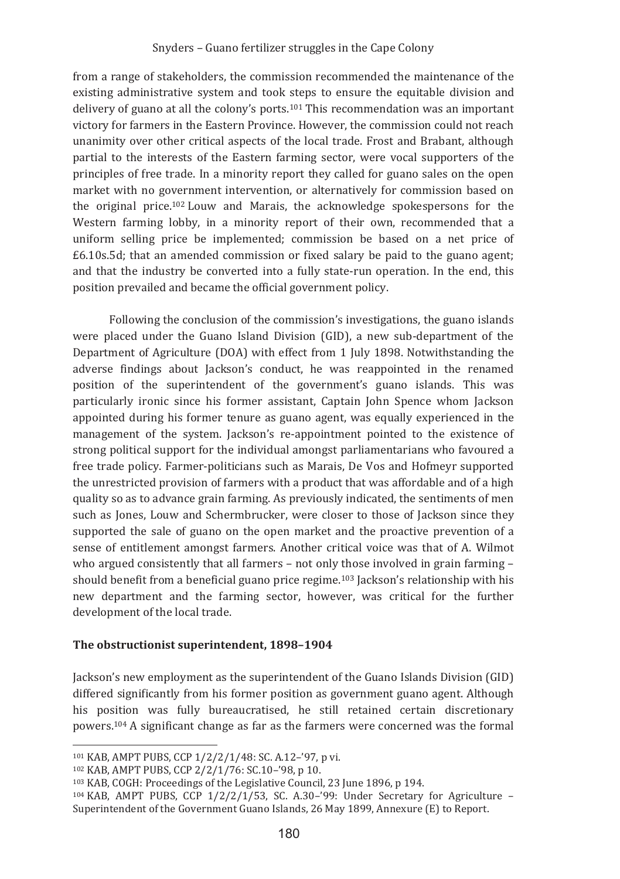from a range of stakeholders, the commission recommended the maintenance of the existing administrative system and took steps to ensure the equitable division and delivery of guano at all the colony's ports.<sup>101</sup> This recommendation was an important victory for farmers in the Eastern Province. However, the commission could not reach unanimity over other critical aspects of the local trade. Frost and Brabant, although partial to the interests of the Eastern farming sector, were vocal supporters of the principles of free trade. In a minority report they called for guano sales on the open market with no government intervention, or alternatively for commission based on the original price.<sup>102</sup> Louw and Marais, the acknowledge spokespersons for the Western farming lobby, in a minority report of their own, recommended that a uniform selling price be implemented: commission be based on a net price of  $£6.10s.5d$ ; that an amended commission or fixed salary be paid to the guano agent; and that the industry be converted into a fully state-run operation. In the end, this position prevailed and became the official government policy.

Following the conclusion of the commission's investigations, the guano islands were placed under the Guano Island Division (GID), a new sub-department of the Department of Agriculture (DOA) with effect from 1 July 1898. Notwithstanding the adverse findings about Jackson's conduct, he was reappointed in the renamed position of the superintendent of the government's guano islands. This was particularly ironic since his former assistant, Captain John Spence whom Jackson appointed during his former tenure as guano agent, was equally experienced in the management of the system. Jackson's re-appointment pointed to the existence of strong political support for the individual amongst parliamentarians who favoured a free trade policy. Farmer-politicians such as Marais, De Vos and Hofmeyr supported the unrestricted provision of farmers with a product that was affordable and of a high quality so as to advance grain farming. As previously indicated, the sentiments of men such as Iones. Louw and Schermbrucker, were closer to those of Jackson since they supported the sale of guano on the open market and the proactive prevention of a sense of entitlement amongst farmers. Another critical voice was that of A. Wilmot who argued consistently that all farmers - not only those involved in grain farming should benefit from a beneficial guano price regime.<sup>103</sup> Jackson's relationship with his new department and the farming sector, however, was critical for the further development of the local trade.

### The obstructionist superintendent, 1898-1904

Jackson's new employment as the superintendent of the Guano Islands Division (GID) differed significantly from his former position as government guano agent. Although his position was fully bureaucratised, he still retained certain discretionary powers.<sup>104</sup> A significant change as far as the farmers were concerned was the formal

<sup>&</sup>lt;sup>101</sup> KAB, AMPT PUBS, CCP 1/2/2/1/48: SC, A.12-'97, p vi.

<sup>102</sup> KAB, AMPT PUBS, CCP 2/2/1/76: SC.10-'98, p 10.

<sup>&</sup>lt;sup>103</sup> KAB, COGH: Proceedings of the Legislative Council, 23 June 1896, p 194.

<sup>&</sup>lt;sup>104</sup> KAB, AMPT PUBS, CCP 1/2/2/1/53, SC, A.30-'99; Under Secretary for Agriculture -Superintendent of the Government Guano Islands, 26 May 1899, Annexure (E) to Report.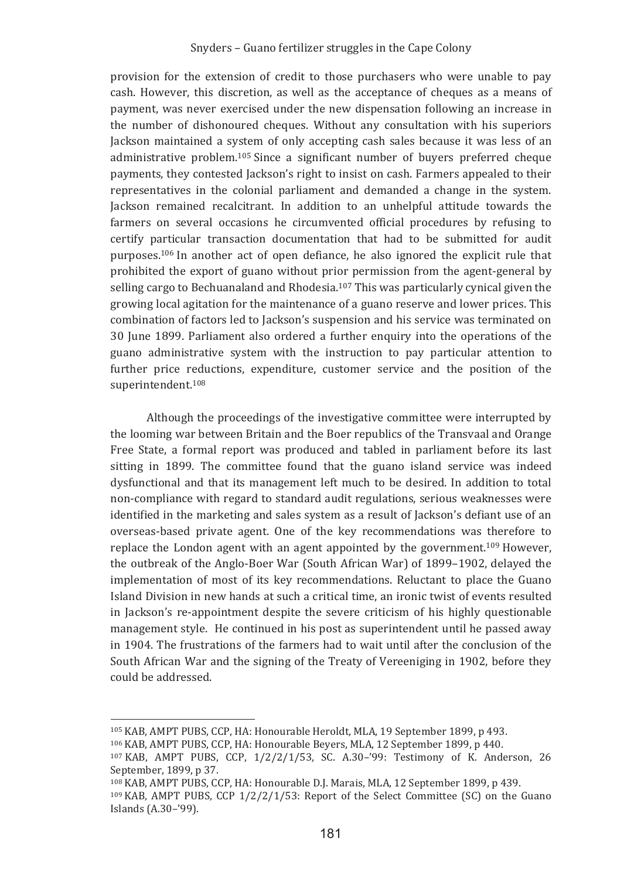provision for the extension of credit to those purchasers who were unable to pay cash. However, this discretion, as well as the acceptance of cheques as a means of payment, was never exercised under the new dispensation following an increase in the number of dishonoured cheques. Without any consultation with his superiors Jackson maintained a system of only accepting cash sales because it was less of an administrative problem.<sup>105</sup> Since a significant number of buyers preferred cheque payments, they contested Jackson's right to insist on cash. Farmers appealed to their representatives in the colonial parliament and demanded a change in the system. Jackson remained recalcitrant. In addition to an unhelpful attitude towards the farmers on several occasions he circumvented official procedures by refusing to certify particular transaction documentation that had to be submitted for audit purposes.<sup>106</sup> In another act of open defiance, he also ignored the explicit rule that prohibited the export of guano without prior permission from the agent-general by selling cargo to Bechuanaland and Rhodesia.<sup>107</sup> This was particularly cynical given the growing local agitation for the maintenance of a guano reserve and lower prices. This combination of factors led to Jackson's suspension and his service was terminated on 30 June 1899. Parliament also ordered a further enquiry into the operations of the guano administrative system with the instruction to pay particular attention to further price reductions, expenditure, customer service and the position of the superintendent.<sup>108</sup>

Although the proceedings of the investigative committee were interrupted by the looming war between Britain and the Boer republics of the Transvaal and Orange Free State, a formal report was produced and tabled in parliament before its last sitting in 1899. The committee found that the guano island service was indeed dysfunctional and that its management left much to be desired. In addition to total non-compliance with regard to standard audit regulations, serious weaknesses were identified in the marketing and sales system as a result of lackson's defiant use of an overseas-based private agent. One of the key recommendations was therefore to replace the London agent with an agent appointed by the government.<sup>109</sup> However, the outbreak of the Anglo-Boer War (South African War) of 1899-1902, delayed the implementation of most of its key recommendations. Reluctant to place the Guano Island Division in new hands at such a critical time, an ironic twist of events resulted in Jackson's re-appointment despite the severe criticism of his highly questionable management style. He continued in his post as superintendent until he passed away in 1904. The frustrations of the farmers had to wait until after the conclusion of the South African War and the signing of the Treaty of Vereeniging in 1902, before they he addressed

<sup>&</sup>lt;sup>105</sup> KAB, AMPT PUBS, CCP, HA: Honourable Heroldt, MLA, 19 September 1899, p 493.

<sup>106</sup> KAB, AMPT PUBS, CCP, HA: Honourable Beyers, MLA, 12 September 1899, p 440.

<sup>&</sup>lt;sup>107</sup> KAB, AMPT PUBS, CCP, 1/2/2/1/53, SC, A.30-'99; Testimony of K, Anderson, 26 September, 1899, p 37.

<sup>108</sup> KAB, AMPT PUBS, CCP, HA: Honourable D.J. Marais, MLA, 12 September 1899, p 439.

 $109$  KAB, AMPT PUBS, CCP  $1/2/2/1/53$ ; Report of the Select Committee (SC) on the Guano Islands (A.30-'99).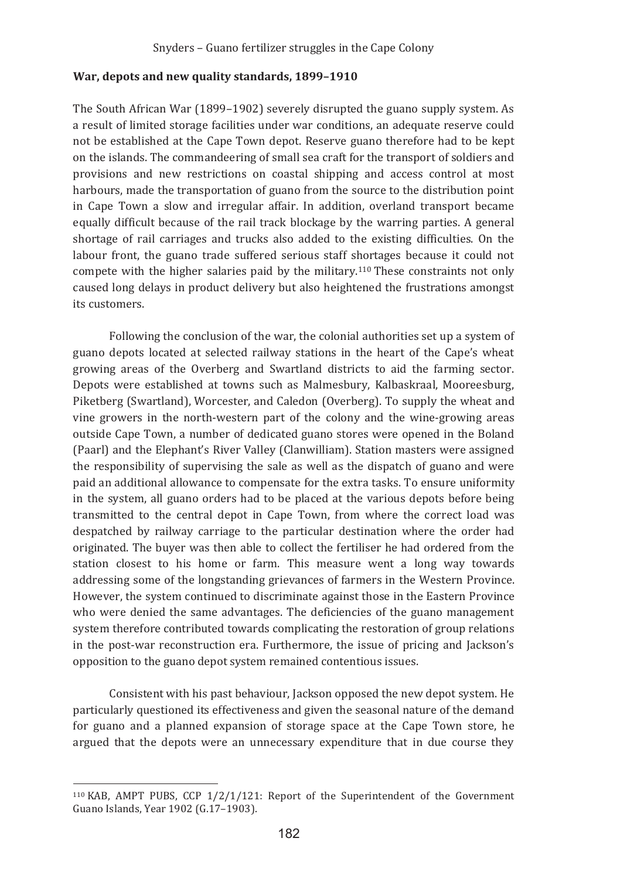#### War, depots and new quality standards, 1899-1910

The South African War (1899–1902) severely disrupted the guano supply system. As a result of limited storage facilities under war conditions, an adequate reserve could not be established at the Cape Town depot. Reserve guano therefore had to be kept on the islands. The commandeering of small sea craft for the transport of soldiers and provisions and new restrictions on coastal shipping and access control at most harbours, made the transportation of guano from the source to the distribution point in Cape Town a slow and irregular affair. In addition, overland transport became equally difficult because of the rail track blockage by the warring parties. A general shortage of rail carriages and trucks also added to the existing difficulties. On the labour front, the guano trade suffered serious staff shortages because it could not compete with the higher salaries paid by the military.<sup>110</sup> These constraints not only caused long delays in product delivery but also heightened the frustrations amongst its customers.

Following the conclusion of the war, the colonial authorities set up a system of guano depots located at selected railway stations in the heart of the Cape's wheat growing areas of the Overberg and Swartland districts to aid the farming sector. Depots were established at towns such as Malmesbury, Kalbaskraal, Mooreesburg, Piketberg (Swartland), Worcester, and Caledon (Overberg). To supply the wheat and vine growers in the north-western part of the colony and the wine-growing areas outside Cape Town, a number of dedicated guano stores were opened in the Boland (Paarl) and the Elephant's River Valley (Clanwilliam). Station masters were assigned the responsibility of supervising the sale as well as the dispatch of guano and were paid an additional allowance to compensate for the extra tasks. To ensure uniformity in the system, all guano orders had to be placed at the various depots before being transmitted to the central depot in Cape Town, from where the correct load was despatched by railway carriage to the particular destination where the order had originated. The buyer was then able to collect the fertiliser he had ordered from the station closest to his home or farm. This measure went a long way towards addressing some of the longstanding grievances of farmers in the Western Province. However, the system continued to discriminate against those in the Eastern Province who were denied the same advantages. The deficiencies of the guano management system therefore contributed towards complicating the restoration of group relations in the post-war reconstruction era. Furthermore, the issue of pricing and Jackson's opposition to the guano depot system remained contentious issues.

Consistent with his past behaviour, Jackson opposed the new depot system. He particularly questioned its effectiveness and given the seasonal nature of the demand for guano and a planned expansion of storage space at the Cape Town store, he argued that the depots were an unnecessary expenditure that in due course they

<sup>&</sup>lt;sup>110</sup> KAB, AMPT PUBS, CCP  $1/2/1/121$ : Report of the Superintendent of the Government Guano Islands, Year 1902 (G.17-1903).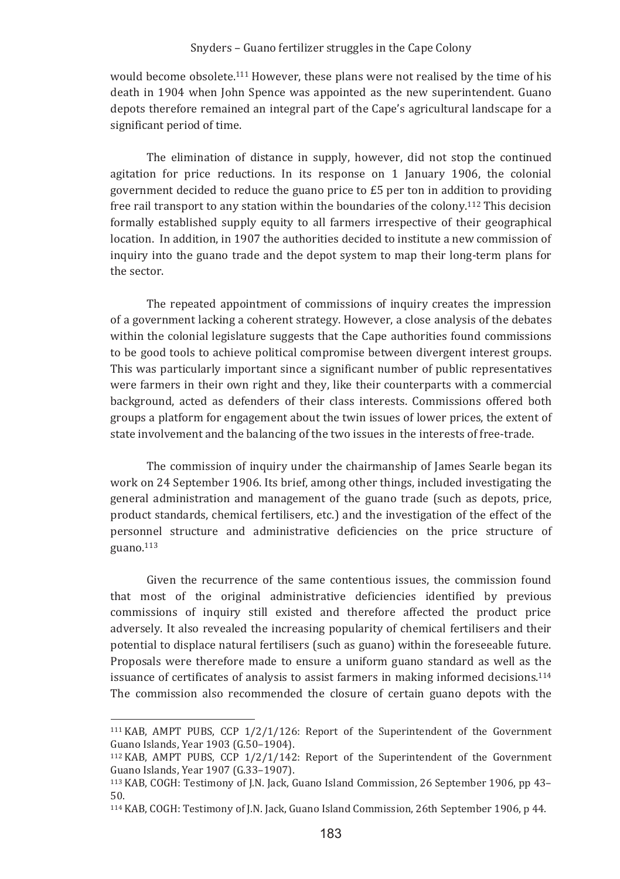would become obsolete.<sup>111</sup> However, these plans were not realised by the time of his death in 1904 when John Spence was appointed as the new superintendent. Guano depots therefore remained an integral part of the Cape's agricultural landscape for a significant period of time.

The elimination of distance in supply, however, did not stop the continued agitation for price reductions. In its response on 1 January 1906, the colonial government decided to reduce the guano price to £5 per ton in addition to providing free rail transport to any station within the boundaries of the colony.<sup>112</sup> This decision formally established supply equity to all farmers irrespective of their geographical location. In addition, in 1907 the authorities decided to institute a new commission of inquiry into the guano trade and the depot system to map their long-term plans for the sector.

The repeated appointment of commissions of inquiry creates the impression of a government lacking a coherent strategy. However, a close analysis of the debates within the colonial legislature suggests that the Cape authorities found commissions to be good tools to achieve political compromise between divergent interest groups. This was particularly important since a significant number of public representatives were farmers in their own right and they, like their counterparts with a commercial background, acted as defenders of their class interests. Commissions offered both groups a platform for engagement about the twin issues of lower prices, the extent of state involvement and the balancing of the two issues in the interests of free-trade.

The commission of inquiry under the chairmanship of James Searle began its work on 24 September 1906. Its brief, among other things, included investigating the general administration and management of the guano trade (such as depots, price, product standards, chemical fertilisers, etc.) and the investigation of the effect of the personnel structure and administrative deficiencies on the price structure of  $\frac{\text{guano}}{113}$ 

Given the recurrence of the same contentious issues, the commission found that most of the original administrative deficiencies identified by previous commissions of inquiry still existed and therefore affected the product price adversely. It also revealed the increasing popularity of chemical fertilisers and their potential to displace natural fertilisers (such as guano) within the foreseeable future. Proposals were therefore made to ensure a uniform guano standard as well as the issuance of certificates of analysis to assist farmers in making informed decisions.<sup>114</sup> The commission also recommended the closure of certain guano depots with the

 $111$  KAB, AMPT PUBS, CCP 1/2/1/126: Report of the Superintendent of the Government Guano Islands, Year 1903 (G.50-1904).

<sup>&</sup>lt;sup>112</sup> KAB, AMPT PUBS, CCP  $1/2/1/142$ : Report of the Superintendent of the Government Guano Islands, Year 1907 (G.33-1907).

<sup>&</sup>lt;sup>113</sup> KAB, COGH: Testimony of J.N. Jack, Guano Island Commission, 26 September 1906, pp 43-50.

<sup>&</sup>lt;sup>114</sup> KAB, COGH: Testimony of J.N. Jack, Guano Island Commission, 26th September 1906, p 44.